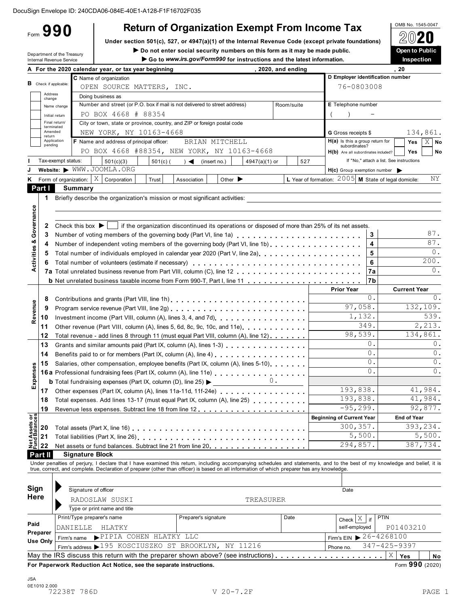**Under section 501(c), 527, or 4947(a)(1)** of the Internal Revenue Code (except private foundations)  $\bigotimes$   $\mathbb{Q}$ 

<span id="page-0-0"></span>Form **990**

Under section 501(c), 527, or 4947(a)(1) of the Internal Revenue Code (except private foundations) Under section 501(c), 527, or 4947(a)(1) of the Internal Revenue Code (except private foundations) Under section 501(c).<br> **Internal Revenue Service I Consumer Consumer Consumers in Security numbers on this form as it may be made public.<br>■ Internal Revenue Service Inspection<br>Inspection** 

OMB No. 1545-0047

<span id="page-0-1"></span>

|                                        |                   |                               | A For the 2020 calendar year, or tax year beginning                                                                                                                                                                                                                                                                      |                                                                       | , 2020, and ending |                                                        |            | , 20                                     |                     |                 |
|----------------------------------------|-------------------|-------------------------------|--------------------------------------------------------------------------------------------------------------------------------------------------------------------------------------------------------------------------------------------------------------------------------------------------------------------------|-----------------------------------------------------------------------|--------------------|--------------------------------------------------------|------------|------------------------------------------|---------------------|-----------------|
|                                        |                   |                               | C Name of organization                                                                                                                                                                                                                                                                                                   |                                                                       |                    | D Employer identification number                       |            |                                          |                     |                 |
|                                        |                   | <b>B</b> Check if applicable: | OPEN SOURCE MATTERS, INC.                                                                                                                                                                                                                                                                                                |                                                                       |                    | 76-0803008                                             |            |                                          |                     |                 |
|                                        | Address<br>change |                               | Doing business as                                                                                                                                                                                                                                                                                                        |                                                                       |                    |                                                        |            |                                          |                     |                 |
|                                        |                   | Name change                   | Number and street (or P.O. box if mail is not delivered to street address)                                                                                                                                                                                                                                               |                                                                       | Room/suite         | E Telephone number                                     |            |                                          |                     |                 |
|                                        |                   | Initial return                | PO BOX 4668 # 88354                                                                                                                                                                                                                                                                                                      |                                                                       |                    |                                                        |            |                                          |                     |                 |
|                                        |                   | Final return/<br>terminated   | City or town, state or province, country, and ZIP or foreign postal code                                                                                                                                                                                                                                                 |                                                                       |                    |                                                        |            |                                          |                     |                 |
|                                        | Amended<br>return |                               | NEW YORK, NY 10163-4668                                                                                                                                                                                                                                                                                                  |                                                                       |                    | <b>G</b> Gross receipts \$                             |            |                                          |                     | 134,861.        |
|                                        | pending           | Application                   | F Name and address of principal officer:                                                                                                                                                                                                                                                                                 | BRIAN MITCHELL                                                        |                    | $H(a)$ is this a group return for<br>subordinates?     |            |                                          | Yes                 | $X$ No          |
|                                        |                   |                               | PO BOX 4668 #88354, NEW YORK, NY 10163-4668                                                                                                                                                                                                                                                                              |                                                                       |                    | H(b) Are all subordinates included?                    |            |                                          | Yes                 | No              |
|                                        |                   | Tax-exempt status:            | 501(c)(3)<br>$501(c)$ (                                                                                                                                                                                                                                                                                                  | (insert no.)<br>$\rightarrow$ $\blacktriangleleft$<br>$4947(a)(1)$ or | 527                |                                                        |            | If "No," attach a list. See instructions |                     |                 |
|                                        |                   |                               | Website: WWW.JOOMLA.ORG                                                                                                                                                                                                                                                                                                  |                                                                       |                    | $H(c)$ Group exemption number $\blacktriangleright$    |            |                                          |                     |                 |
| Κ                                      |                   |                               | Form of organization: $\mid X \mid$ Corporation<br>Trust                                                                                                                                                                                                                                                                 | Other $\blacktriangleright$<br>Association                            |                    | L Year of formation: $2005$ M State of legal domicile: |            |                                          |                     | ΝY              |
|                                        | Part I            |                               | <b>Summary</b>                                                                                                                                                                                                                                                                                                           |                                                                       |                    |                                                        |            |                                          |                     |                 |
|                                        | 1                 |                               | Briefly describe the organization's mission or most significant activities:                                                                                                                                                                                                                                              |                                                                       |                    |                                                        |            |                                          |                     |                 |
| Governance                             |                   |                               |                                                                                                                                                                                                                                                                                                                          |                                                                       |                    |                                                        |            |                                          |                     |                 |
|                                        |                   |                               |                                                                                                                                                                                                                                                                                                                          |                                                                       |                    |                                                        |            |                                          |                     |                 |
|                                        | 2                 |                               | Check this box $\blacktriangleright$   if the organization discontinued its operations or disposed of more than 25% of its net assets.                                                                                                                                                                                   |                                                                       |                    |                                                        |            |                                          |                     | 87.             |
| ఱ                                      | 3                 |                               | Number of voting members of the governing body (Part VI, line 1a)                                                                                                                                                                                                                                                        |                                                                       |                    |                                                        | 3<br>4     |                                          |                     | 87.             |
|                                        | 4                 |                               | Number of independent voting members of the governing body (Part VI, line 1b)                                                                                                                                                                                                                                            |                                                                       |                    |                                                        |            |                                          |                     | $0$ .           |
|                                        | 5                 |                               | Total number of individuals employed in calendar year 2020 (Part V, line 2a)                                                                                                                                                                                                                                             |                                                                       |                    |                                                        | 5<br>6     |                                          |                     | 200.            |
| Activities                             | 6                 |                               |                                                                                                                                                                                                                                                                                                                          |                                                                       |                    |                                                        | 7a         |                                          |                     | 0.              |
|                                        |                   |                               |                                                                                                                                                                                                                                                                                                                          |                                                                       |                    |                                                        | 7b         |                                          |                     |                 |
|                                        |                   |                               |                                                                                                                                                                                                                                                                                                                          |                                                                       |                    | <b>Prior Year</b>                                      |            |                                          | <b>Current Year</b> |                 |
|                                        | 8                 |                               |                                                                                                                                                                                                                                                                                                                          |                                                                       |                    |                                                        | $0$ .      |                                          |                     | $\Omega$ .      |
|                                        | 9                 |                               |                                                                                                                                                                                                                                                                                                                          |                                                                       |                    | 97,058.                                                |            |                                          |                     | 132,109.        |
| Revenue                                | 10                |                               | Investment income (Part VIII, column (A), lines 3, 4, and 7d).                                                                                                                                                                                                                                                           |                                                                       |                    | 1,132.                                                 |            |                                          |                     | 539.            |
|                                        | 11                |                               | Other revenue (Part VIII, column (A), lines 5, 6d, 8c, 9c, 10c, and 11e).                                                                                                                                                                                                                                                |                                                                       |                    |                                                        | 349.       |                                          |                     | 2,213.          |
|                                        | 12                |                               | Total revenue - add lines 8 through 11 (must equal Part VIII, column (A), line 12)                                                                                                                                                                                                                                       |                                                                       |                    | 98,539.                                                |            |                                          |                     | 134,861.        |
|                                        | 13                |                               | Grants and similar amounts paid (Part IX, column (A), lines 1-3)                                                                                                                                                                                                                                                         |                                                                       |                    |                                                        | $0$ .      |                                          |                     | 0.              |
|                                        | 14                |                               | Benefits paid to or for members (Part IX, column (A), line 4) [10] cases and the set of the set of the set of the set of the set of the set of the set of the set of the set of the set of the set of the set of the set of th                                                                                           |                                                                       |                    |                                                        | 0.         |                                          |                     | $\circ$ .       |
|                                        | 15                |                               | Salaries, other compensation, employee benefits (Part IX, column (A), lines 5-10)                                                                                                                                                                                                                                        |                                                                       |                    |                                                        | 0.         |                                          |                     | 0.              |
| Expenses                               |                   |                               | 16a Professional fundraising fees (Part IX, column (A), line 11e)                                                                                                                                                                                                                                                        |                                                                       |                    |                                                        | $\Omega$ . |                                          |                     | $\mathbf{0}$ .  |
|                                        |                   |                               | <b>b</b> Total fundraising expenses (Part IX, column (D), line 25) $\blacktriangleright$                                                                                                                                                                                                                                 |                                                                       | $0$ .              |                                                        |            |                                          |                     |                 |
|                                        | 17                |                               |                                                                                                                                                                                                                                                                                                                          |                                                                       |                    | 193,838.                                               |            |                                          |                     | 41,984.         |
|                                        | 18                |                               | Total expenses. Add lines 13-17 (must equal Part IX, column (A), line 25)                                                                                                                                                                                                                                                |                                                                       |                    | 193,838.                                               |            |                                          |                     | 41,984.         |
|                                        | 19                |                               |                                                                                                                                                                                                                                                                                                                          |                                                                       |                    | $-95, 299.$                                            |            |                                          |                     | 92,877.         |
|                                        |                   |                               |                                                                                                                                                                                                                                                                                                                          |                                                                       |                    | <b>Beginning of Current Year</b>                       |            |                                          | <b>End of Year</b>  |                 |
| <b>Net Assets or<br/>Fund Balances</b> | 20                |                               |                                                                                                                                                                                                                                                                                                                          |                                                                       |                    | 300, 357.                                              |            |                                          |                     | 393,234.        |
|                                        | 21                |                               |                                                                                                                                                                                                                                                                                                                          |                                                                       |                    | 5,500.                                                 |            |                                          |                     | 5,500.          |
|                                        | 22                |                               | Net assets or fund balances. Subtract line 21 from line 20.                                                                                                                                                                                                                                                              |                                                                       |                    | 294,857.                                               |            |                                          |                     | 387,734.        |
|                                        | Part II           |                               | <b>Signature Block</b>                                                                                                                                                                                                                                                                                                   |                                                                       |                    |                                                        |            |                                          |                     |                 |
|                                        |                   |                               | Under penalties of perjury, I declare that I have examined this return, including accompanying schedules and statements, and to the best of my knowledge and belief, it is<br>true, correct, and complete. Declaration of preparer (other than officer) is based on all information of which preparer has any knowledge. |                                                                       |                    |                                                        |            |                                          |                     |                 |
|                                        |                   |                               |                                                                                                                                                                                                                                                                                                                          |                                                                       |                    |                                                        |            |                                          |                     |                 |
| Sign                                   |                   |                               |                                                                                                                                                                                                                                                                                                                          |                                                                       |                    |                                                        |            |                                          |                     |                 |
| Here                                   |                   |                               | Signature of officer                                                                                                                                                                                                                                                                                                     |                                                                       |                    | Date                                                   |            |                                          |                     |                 |
|                                        |                   |                               | RADOSLAW SUSKI                                                                                                                                                                                                                                                                                                           | TREASURER                                                             |                    |                                                        |            |                                          |                     |                 |
|                                        |                   |                               | Type or print name and title                                                                                                                                                                                                                                                                                             |                                                                       |                    |                                                        |            |                                          |                     |                 |
| Paid                                   |                   |                               | Print/Type preparer's name                                                                                                                                                                                                                                                                                               | Preparer's signature                                                  | Date               | $Check$ $X$                                            | if         | <b>PTIN</b>                              |                     |                 |
|                                        | Preparer          |                               | DANIELLE<br>HLATKY                                                                                                                                                                                                                                                                                                       |                                                                       |                    | self-employed                                          |            | P01403210                                |                     |                 |
|                                        | Use Only          |                               | PIPIA COHEN HLATKY LLC<br>Firm's name                                                                                                                                                                                                                                                                                    |                                                                       |                    | Firm's EIN $\triangleright$ 26-4268100                 |            |                                          |                     |                 |
|                                        |                   |                               | Firm's address > 195 KOSCIUSZKO ST BROOKLYN, NY 11216                                                                                                                                                                                                                                                                    |                                                                       |                    | Phone no.                                              |            | $347 - 425 - 9397$                       |                     |                 |
|                                        |                   |                               |                                                                                                                                                                                                                                                                                                                          |                                                                       |                    |                                                        |            | X<br>Yes                                 |                     | No              |
|                                        |                   |                               | For Paperwork Reduction Act Notice, see the separate instructions.                                                                                                                                                                                                                                                       |                                                                       |                    |                                                        |            |                                          |                     | Form 990 (2020) |
| <b>JSA</b>                             |                   |                               |                                                                                                                                                                                                                                                                                                                          |                                                                       |                    |                                                        |            |                                          |                     |                 |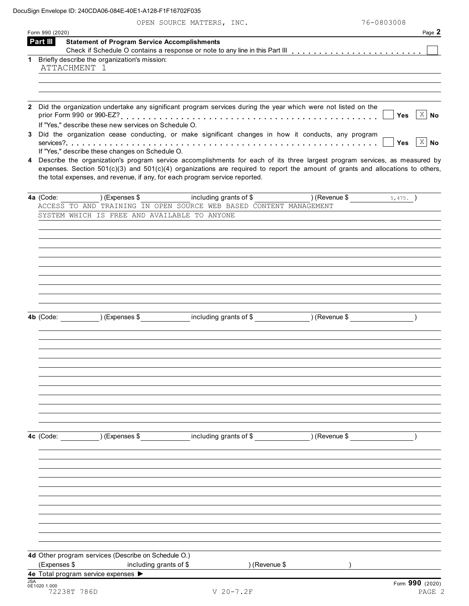|              | Form 990 (2020)                                                                                                                |                                                                                                                                                                                                                                                                    |                         | Page 2                                                       |
|--------------|--------------------------------------------------------------------------------------------------------------------------------|--------------------------------------------------------------------------------------------------------------------------------------------------------------------------------------------------------------------------------------------------------------------|-------------------------|--------------------------------------------------------------|
| Part III     | <b>Statement of Program Service Accomplishments</b>                                                                            |                                                                                                                                                                                                                                                                    |                         |                                                              |
|              | 1 Briefly describe the organization's mission:<br>ATTACHMENT 1                                                                 |                                                                                                                                                                                                                                                                    |                         |                                                              |
|              | If "Yes," describe these new services on Schedule O.                                                                           | Did the organization undertake any significant program services during the year which were not listed on the<br>Did the organization cease conducting, or make significant changes in how it conducts, any program                                                 |                         | $X \mid No$<br><b>Yes</b><br>$\overline{X}$ No<br><b>Yes</b> |
|              | If "Yes," describe these changes on Schedule O.<br>the total expenses, and revenue, if any, for each program service reported. | 4 Describe the organization's program service accomplishments for each of its three largest program services, as measured by<br>expenses. Section $501(c)(3)$ and $501(c)(4)$ organizations are required to report the amount of grants and allocations to others, |                         |                                                              |
| 4a (Code:    | ) (Expenses \$                                                                                                                 | including grants of \$                                                                                                                                                                                                                                             | $($ Revenue \$ $5,475.$ |                                                              |
|              |                                                                                                                                | ACCESS TO AND TRAINING IN OPEN SOURCE WEB BASED CONTENT MANAGEMENT                                                                                                                                                                                                 |                         |                                                              |
|              | SYSTEM WHICH IS FREE AND AVAILABLE TO ANYONE                                                                                   |                                                                                                                                                                                                                                                                    |                         |                                                              |
|              |                                                                                                                                | 4b (Code: ) (Expenses \$ including grants of \$ ) (Revenue \$                                                                                                                                                                                                      |                         |                                                              |
|              |                                                                                                                                |                                                                                                                                                                                                                                                                    |                         |                                                              |
|              |                                                                                                                                | 4c (Code: ) (Expenses \$ including grants of \$ ) (Revenue \$                                                                                                                                                                                                      |                         |                                                              |
|              |                                                                                                                                |                                                                                                                                                                                                                                                                    |                         |                                                              |
|              | 4d Other program services (Describe on Schedule O.)                                                                            | ) (Revenue \$                                                                                                                                                                                                                                                      |                         |                                                              |
| (Expenses \$ | including grants of \$                                                                                                         |                                                                                                                                                                                                                                                                    |                         |                                                              |
| <b>JSA</b>   | 4e Total program service expenses >                                                                                            |                                                                                                                                                                                                                                                                    |                         | Form 990 (2020)                                              |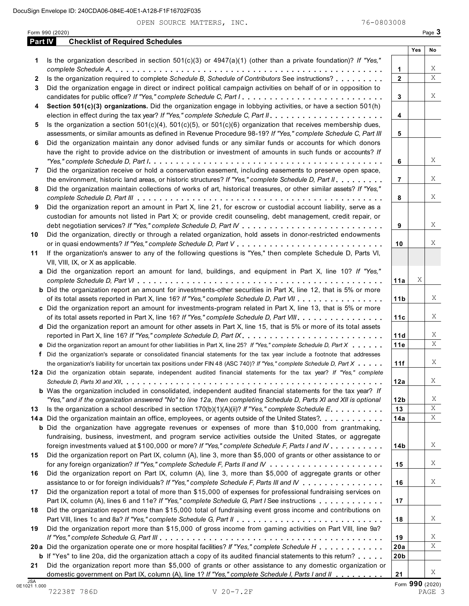|              |                                                                                                                           |                 | Yes | No |
|--------------|---------------------------------------------------------------------------------------------------------------------------|-----------------|-----|----|
| 1            | Is the organization described in section $501(c)(3)$ or $4947(a)(1)$ (other than a private foundation)? If "Yes,"         |                 |     |    |
|              |                                                                                                                           | 1               |     |    |
| $\mathbf{2}$ | Is the organization required to complete Schedule B, Schedule of Contributors See instructions?                           | $\overline{2}$  |     |    |
| 3            | Did the organization engage in direct or indirect political campaign activities on behalf of or in opposition to          |                 |     |    |
|              |                                                                                                                           | 3               |     |    |
| 4            | Section 501(c)(3) organizations. Did the organization engage in lobbying activities, or have a section 501(h)             |                 |     |    |
|              |                                                                                                                           | 4               |     |    |
| 5            | Is the organization a section $501(c)(4)$ , $501(c)(5)$ , or $501(c)(6)$ organization that receives membership dues,      |                 |     |    |
|              | assessments, or similar amounts as defined in Revenue Procedure 98-19? If "Yes," complete Schedule C, Part III            | 5               |     |    |
| 6            | Did the organization maintain any donor advised funds or any similar funds or accounts for which donors                   |                 |     |    |
|              | have the right to provide advice on the distribution or investment of amounts in such funds or accounts? If               |                 |     |    |
|              |                                                                                                                           |                 |     |    |
|              |                                                                                                                           | 6               |     |    |
| 7            | Did the organization receive or hold a conservation easement, including easements to preserve open space,                 |                 |     |    |
|              | the environment, historic land areas, or historic structures? If "Yes," complete Schedule D, Part II.                     | $\overline{7}$  |     |    |
| 8            | Did the organization maintain collections of works of art, historical treasures, or other similar assets? If "Yes,"       |                 |     |    |
|              |                                                                                                                           | 8               |     |    |
| 9            | Did the organization report an amount in Part X, line 21, for escrow or custodial account liability, serve as a           |                 |     |    |
|              | custodian for amounts not listed in Part X; or provide credit counseling, debt management, credit repair, or              |                 |     |    |
|              |                                                                                                                           | 9               |     |    |
| 10           | Did the organization, directly or through a related organization, hold assets in donor-restricted endowments              |                 |     |    |
|              |                                                                                                                           | 10              |     |    |
| 11           | If the organization's answer to any of the following questions is "Yes," then complete Schedule D, Parts VI,              |                 |     |    |
|              | VII, VIII, IX, or X as applicable.                                                                                        |                 |     |    |
|              | a Did the organization report an amount for land, buildings, and equipment in Part X, line 10? If "Yes,"                  |                 |     |    |
|              |                                                                                                                           | 11a             | Χ   |    |
|              | <b>b</b> Did the organization report an amount for investments-other securities in Part X, line 12, that is 5% or more    |                 |     |    |
|              | of its total assets reported in Part X, line 16? If "Yes," complete Schedule D, Part VII                                  | 11 <sub>b</sub> |     |    |
|              |                                                                                                                           |                 |     |    |
|              | c Did the organization report an amount for investments-program related in Part X, line 13, that is 5% or more            |                 |     |    |
|              | of its total assets reported in Part X, line 16? If "Yes," complete Schedule D, Part VIII                                 | 11c             |     |    |
|              | d Did the organization report an amount for other assets in Part X, line 15, that is 5% or more of its total assets       |                 |     |    |
|              |                                                                                                                           | 11d             |     |    |
|              | e Did the organization report an amount for other liabilities in Part X, line 25? If "Yes," complete Schedule D, Part X   | 11e             |     |    |
|              | f Did the organization's separate or consolidated financial statements for the tax year include a footnote that addresses |                 |     |    |
|              | the organization's liability for uncertain tax positions under FIN 48 (ASC 740)? If "Yes," complete Schedule D, Part X    | 11f             |     |    |
|              | 12a Did the organization obtain separate, independent audited financial statements for the tax year? If "Yes," complete   |                 |     |    |
|              |                                                                                                                           | 12a             |     |    |
|              | <b>b</b> Was the organization included in consolidated, independent audited financial statements for the tax year? If     |                 |     |    |
|              | "Yes," and if the organization answered "No" to line 12a, then completing Schedule D, Parts XI and XII is optional        | 12b             |     |    |
| 13           | Is the organization a school described in section $170(b)(1)(A)(ii)$ ? If "Yes," complete Schedule E.                     | 13              |     |    |
|              | 14a Did the organization maintain an office, employees, or agents outside of the United States?.                          | 14a             |     |    |
|              | <b>b</b> Did the organization have aggregate revenues or expenses of more than \$10,000 from grantmaking,                 |                 |     |    |
|              | fundraising, business, investment, and program service activities outside the United States, or aggregate                 |                 |     |    |
|              | foreign investments valued at \$100,000 or more? If "Yes," complete Schedule F, Parts I and IV                            | 14 <sub>b</sub> |     |    |
| 15           | Did the organization report on Part IX, column (A), line 3, more than \$5,000 of grants or other assistance to or         |                 |     |    |
|              |                                                                                                                           |                 |     |    |
|              |                                                                                                                           | 15              |     |    |
| 16           | Did the organization report on Part IX, column (A), line 3, more than \$5,000 of aggregate grants or other                |                 |     |    |
|              | assistance to or for foreign individuals? If "Yes," complete Schedule F, Parts III and IV                                 | 16              |     |    |
| 17           | Did the organization report a total of more than \$15,000 of expenses for professional fundraising services on            |                 |     |    |
|              | Part IX, column (A), lines 6 and 11e? If "Yes," complete Schedule G, Part I See instructions                              | 17              |     |    |
| 18           | Did the organization report more than \$15,000 total of fundraising event gross income and contributions on               |                 |     |    |
|              |                                                                                                                           | 18              |     |    |
| 19           | Did the organization report more than \$15,000 of gross income from gaming activities on Part VIII, line 9a?              |                 |     |    |
|              |                                                                                                                           | 19              |     |    |
|              | 20 a Did the organization operate one or more hospital facilities? If "Yes," complete Schedule H                          | 20a             |     |    |
|              | <b>b</b> If "Yes" to line 20a, did the organization attach a copy of its audited financial statements to this return?     | 20 <sub>b</sub> |     |    |
| 21           | Did the organization report more than \$5,000 of grants or other assistance to any domestic organization or               |                 |     |    |
|              | domestic government on Part IX, column (A), line 1? If "Yes," complete Schedule I, Parts I and II                         | 21              |     |    |
|              |                                                                                                                           |                 |     |    |

Form 990 (2020)<br>TAGE 3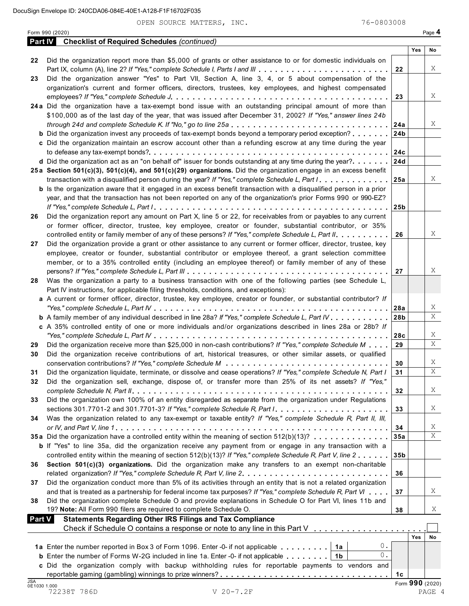Form <sup>990</sup> (2020) Page **4**

|               | <b>Part IV</b> Checklist of Required Schedules (continued)                                                                                                                                                              |                 |     |                 |
|---------------|-------------------------------------------------------------------------------------------------------------------------------------------------------------------------------------------------------------------------|-----------------|-----|-----------------|
|               |                                                                                                                                                                                                                         |                 | Yes | No              |
| 22            | Did the organization report more than \$5,000 of grants or other assistance to or for domestic individuals on                                                                                                           |                 |     |                 |
|               |                                                                                                                                                                                                                         | 22              |     | X               |
| 23            | Did the organization answer "Yes" to Part VII, Section A, line 3, 4, or 5 about compensation of the                                                                                                                     |                 |     |                 |
|               | organization's current and former officers, directors, trustees, key employees, and highest compensated                                                                                                                 |                 |     | Χ               |
|               | 24a Did the organization have a tax-exempt bond issue with an outstanding principal amount of more than                                                                                                                 | 23              |     |                 |
|               | \$100,000 as of the last day of the year, that was issued after December 31, 2002? If "Yes," answer lines 24b                                                                                                           |                 |     |                 |
|               |                                                                                                                                                                                                                         | 24a             |     | X               |
|               | <b>b</b> Did the organization invest any proceeds of tax-exempt bonds beyond a temporary period exception?                                                                                                              | 24 <sub>b</sub> |     |                 |
|               | c Did the organization maintain an escrow account other than a refunding escrow at any time during the year                                                                                                             |                 |     |                 |
|               |                                                                                                                                                                                                                         | 24c             |     |                 |
|               | <b>d</b> Did the organization act as an "on behalf of" issuer for bonds outstanding at any time during the year?                                                                                                        | 24d             |     |                 |
|               | 25a Section 501(c)(3), 501(c)(4), and 501(c)(29) organizations. Did the organization engage in an excess benefit                                                                                                        |                 |     |                 |
|               | transaction with a disqualified person during the year? If "Yes," complete Schedule L, Part I.                                                                                                                          | 25a             |     | Χ               |
|               | <b>b</b> Is the organization aware that it engaged in an excess benefit transaction with a disqualified person in a prior                                                                                               |                 |     |                 |
|               | year, and that the transaction has not been reported on any of the organization's prior Forms 990 or 990-EZ?                                                                                                            |                 |     |                 |
|               |                                                                                                                                                                                                                         | 25 <sub>b</sub> |     |                 |
| 26            | Did the organization report any amount on Part X, line 5 or 22, for receivables from or payables to any current                                                                                                         |                 |     |                 |
|               | or former officer, director, trustee, key employee, creator or founder, substantial contributor, or 35%                                                                                                                 |                 |     |                 |
|               | controlled entity or family member of any of these persons? If "Yes," complete Schedule L, Part II.                                                                                                                     | 26              |     | Χ               |
| 27            | Did the organization provide a grant or other assistance to any current or former officer, director, trustee, key                                                                                                       |                 |     |                 |
|               | employee, creator or founder, substantial contributor or employee thereof, a grant selection committee                                                                                                                  |                 |     |                 |
|               | member, or to a 35% controlled entity (including an employee thereof) or family member of any of these                                                                                                                  |                 |     |                 |
|               |                                                                                                                                                                                                                         | 27              |     | Χ               |
| 28            | Was the organization a party to a business transaction with one of the following parties (see Schedule L,                                                                                                               |                 |     |                 |
|               | Part IV instructions, for applicable filing thresholds, conditions, and exceptions):                                                                                                                                    |                 |     |                 |
|               | a A current or former officer, director, trustee, key employee, creator or founder, or substantial contributor? If                                                                                                      |                 |     |                 |
|               |                                                                                                                                                                                                                         | 28a             |     | Χ               |
|               | <b>b</b> A family member of any individual described in line 28a? If "Yes," complete Schedule L, Part IV                                                                                                                | 28 <sub>b</sub> |     | X               |
|               | c A 35% controlled entity of one or more individuals and/or organizations described in lines 28a or 28b? If                                                                                                             |                 |     | Χ               |
|               | Did the organization receive more than \$25,000 in non-cash contributions? If "Yes," complete Schedule M $\ldots$                                                                                                       | 28c             |     | X               |
| 29            | Did the organization receive contributions of art, historical treasures, or other similar assets, or qualified                                                                                                          | 29              |     |                 |
| 30            |                                                                                                                                                                                                                         | 30              |     | X               |
| 31            | Did the organization liquidate, terminate, or dissolve and cease operations? If "Yes," complete Schedule N, Part I                                                                                                      | 31              |     | $\overline{X}$  |
| 32            | Did the organization sell, exchange, dispose of, or transfer more than 25% of its net assets? If "Yes,"                                                                                                                 |                 |     |                 |
|               |                                                                                                                                                                                                                         | 32              |     | X               |
| 33            | Did the organization own 100% of an entity disregarded as separate from the organization under Regulations                                                                                                              |                 |     |                 |
|               | sections 301.7701-2 and 301.7701-3? If "Yes," complete Schedule R, Part /                                                                                                                                               | 33              |     | X               |
| 34            | Was the organization related to any tax-exempt or taxable entity? If "Yes," complete Schedule R, Part II, III,                                                                                                          |                 |     |                 |
|               |                                                                                                                                                                                                                         | 34              |     | X               |
|               | 35a Did the organization have a controlled entity within the meaning of section 512(b)(13)?                                                                                                                             | 35a             |     | X               |
|               | <b>b</b> If "Yes" to line 35a, did the organization receive any payment from or engage in any transaction with a                                                                                                        |                 |     |                 |
|               | controlled entity within the meaning of section 512(b)(13)? If "Yes," complete Schedule R, Part V, line 2                                                                                                               | 35 <sub>b</sub> |     |                 |
| 36            | Section 501(c)(3) organizations. Did the organization make any transfers to an exempt non-charitable                                                                                                                    |                 |     |                 |
|               |                                                                                                                                                                                                                         | 36              |     |                 |
| 37            | Did the organization conduct more than 5% of its activities through an entity that is not a related organization                                                                                                        |                 |     |                 |
|               | and that is treated as a partnership for federal income tax purposes? If "Yes," complete Schedule R, Part VI                                                                                                            | 37              |     | X               |
| 38            | Did the organization complete Schedule O and provide explanations in Schedule O for Part VI, lines 11b and                                                                                                              |                 |     |                 |
|               | 19? Note: All Form 990 filers are required to complete Schedule O.                                                                                                                                                      | 38              |     | X               |
| <b>Part V</b> | <b>Statements Regarding Other IRS Filings and Tax Compliance</b>                                                                                                                                                        |                 |     |                 |
|               | Check if Schedule O contains a response or note to any line in this Part V                                                                                                                                              |                 | Yes | No              |
|               | $0$ .                                                                                                                                                                                                                   |                 |     |                 |
|               | 1a Enter the number reported in Box 3 of Form 1096. Enter -0- if not applicable $\dots \dots \dots$<br>0.<br><b>b</b> Enter the number of Forms W-2G included in line 1a. Enter -0- if not applicable $\ldots \ldots$ , |                 |     |                 |
|               | c Did the organization comply with backup withholding rules for reportable payments to vendors and                                                                                                                      |                 |     |                 |
|               |                                                                                                                                                                                                                         | 1c              |     |                 |
| <b>JSA</b>    |                                                                                                                                                                                                                         |                 |     | Form 990 (2020) |
| 0E1030 1.000  | 72238T 786D<br>$V 20 - 7.2F$                                                                                                                                                                                            |                 |     | PAGE 4          |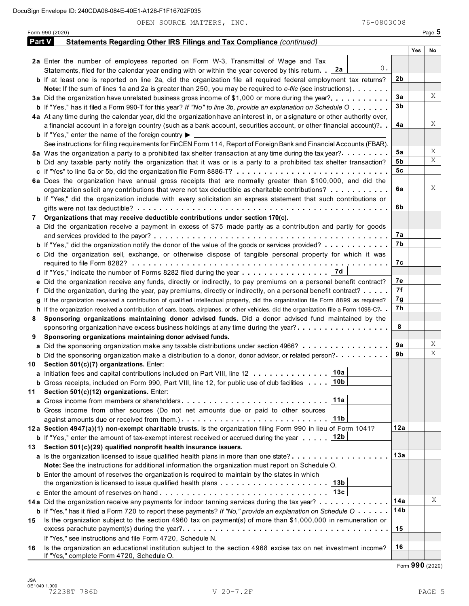OPEN SOURCE MATTERS, INC. 76-0803008

|     | Form 990 (2020)                                                                                                                      |     |     | Page 5 |
|-----|--------------------------------------------------------------------------------------------------------------------------------------|-----|-----|--------|
|     | <b>Part V</b><br>Statements Regarding Other IRS Filings and Tax Compliance (continued)                                               |     |     |        |
|     |                                                                                                                                      |     | Yes | No     |
|     | 2a Enter the number of employees reported on Form W-3, Transmittal of Wage and Tax                                                   |     |     |        |
|     | 0.<br>2a<br>Statements, filed for the calendar year ending with or within the year covered by this return.                           |     |     |        |
|     | <b>b</b> If at least one is reported on line 2a, did the organization file all required federal employment tax returns?              | 2b  |     |        |
|     | Note: If the sum of lines 1a and 2a is greater than 250, you may be required to e-file (see instructions)                            |     |     |        |
|     | 3a Did the organization have unrelated business gross income of \$1,000 or more during the year?                                     | 3a  |     | Χ      |
|     | <b>b</b> If "Yes," has it filed a Form 990-T for this year? If "No" to line 3b, provide an explanation on Schedule O                 | 3b  |     |        |
|     | 4a At any time during the calendar year, did the organization have an interest in, or a signature or other authority over,           |     |     |        |
|     | a financial account in a foreign country (such as a bank account, securities account, or other financial account)?                   | 4a  |     | Χ      |
|     | <b>b</b> If "Yes," enter the name of the foreign country $\blacktriangleright$                                                       |     |     |        |
|     | See instructions for filing requirements for FinCEN Form 114, Report of Foreign Bank and Financial Accounts (FBAR).                  |     |     |        |
|     | 5a Was the organization a party to a prohibited tax shelter transaction at any time during the tax year?                             | 5а  |     | Χ      |
|     | <b>b</b> Did any taxable party notify the organization that it was or is a party to a prohibited tax shelter transaction?            | 5b  |     | X      |
|     |                                                                                                                                      | 5с  |     |        |
|     | 6a Does the organization have annual gross receipts that are normally greater than \$100,000, and did the                            |     |     |        |
|     | organization solicit any contributions that were not tax deductible as charitable contributions?                                     | 6a  |     | Χ      |
|     | <b>b</b> If "Yes," did the organization include with every solicitation an express statement that such contributions or              |     |     |        |
|     |                                                                                                                                      | 6b  |     |        |
| 7   | Organizations that may receive deductible contributions under section 170(c).                                                        |     |     |        |
|     | a Did the organization receive a payment in excess of \$75 made partly as a contribution and partly for goods                        |     |     |        |
|     |                                                                                                                                      | 7а  |     |        |
|     | <b>b</b> If "Yes," did the organization notify the donor of the value of the goods or services provided?                             | 7b  |     |        |
|     | c Did the organization sell, exchange, or otherwise dispose of tangible personal property for which it was                           |     |     |        |
|     |                                                                                                                                      | 7с  |     |        |
|     | 7d<br>d If "Yes," indicate the number of Forms 8282 filed during the year                                                            |     |     |        |
|     | e Did the organization receive any funds, directly or indirectly, to pay premiums on a personal benefit contract?                    | 7е  |     |        |
|     | f Did the organization, during the year, pay premiums, directly or indirectly, on a personal benefit contract?                       | 7f  |     |        |
|     | If the organization received a contribution of qualified intellectual property, did the organization file Form 8899 as required?     | 7g  |     |        |
|     | h If the organization received a contribution of cars, boats, airplanes, or other vehicles, did the organization file a Form 1098-C? | 7h  |     |        |
| 8   | Sponsoring organizations maintaining donor advised funds. Did a donor advised fund maintained by the                                 |     |     |        |
|     | sponsoring organization have excess business holdings at any time during the year?                                                   | 8   |     |        |
| 9   | Sponsoring organizations maintaining donor advised funds.                                                                            |     |     |        |
|     | a Did the sponsoring organization make any taxable distributions under section 4966?                                                 | 9а  |     | Χ      |
|     | <b>b</b> Did the sponsoring organization make a distribution to a donor, donor advisor, or related person?                           | 9b  |     | X      |
|     | 10 Section 501(c)(7) organizations. Enter:                                                                                           |     |     |        |
|     | 10a <br>a Initiation fees and capital contributions included on Part VIII, line 12                                                   |     |     |        |
|     | 10 <sub>b</sub><br><b>b</b> Gross receipts, included on Form 990, Part VIII, line 12, for public use of club facilities              |     |     |        |
| 11  | Section 501(c)(12) organizations. Enter:                                                                                             |     |     |        |
|     | 11a                                                                                                                                  |     |     |        |
|     | b Gross income from other sources (Do not net amounts due or paid to other sources                                                   |     |     |        |
|     | 11 <sub>b</sub>                                                                                                                      |     |     |        |
|     | 12a Section 4947(a)(1) non-exempt charitable trusts. Is the organization filing Form 990 in lieu of Form 1041?                       | 12a |     |        |
|     | 12b<br><b>b</b> If "Yes," enter the amount of tax-exempt interest received or accrued during the year                                |     |     |        |
| 13. | Section 501(c)(29) qualified nonprofit health insurance issuers.                                                                     |     |     |        |
|     | a Is the organization licensed to issue qualified health plans in more than one state?                                               | 13a |     |        |
|     | Note: See the instructions for additional information the organization must report on Schedule O.                                    |     |     |        |
|     | <b>b</b> Enter the amount of reserves the organization is required to maintain by the states in which                                |     |     |        |
|     | 13b                                                                                                                                  |     |     |        |
|     | 13c                                                                                                                                  |     |     |        |
|     | 14a Did the organization receive any payments for indoor tanning services during the tax year?                                       | 14a |     | X      |
|     | <b>b</b> If "Yes," has it filed a Form 720 to report these payments? If "No," provide an explanation on Schedule O $\cdots$          | 14b |     |        |
| 15  | Is the organization subject to the section 4960 tax on payment(s) of more than \$1,000,000 in remuneration or                        |     |     |        |
|     |                                                                                                                                      | 15  |     |        |
|     | If "Yes," see instructions and file Form 4720, Schedule N.                                                                           |     |     |        |
| 16  | Is the organization an educational institution subject to the section 4968 excise tax on net investment income?                      | 16  |     |        |
|     | If "Yes," complete Form 4720, Schedule O.                                                                                            |     |     |        |

Form **990** (2020)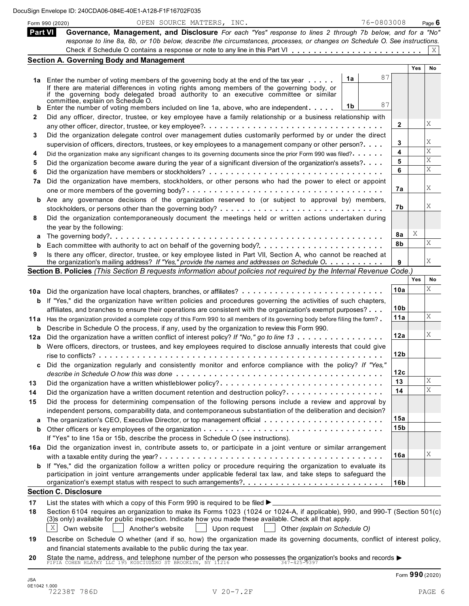|         | OPEN SOURCE MATTERS, INC.<br>Form 990 (2020)                                                                                                                                                        | 76-0803008 |                 |     | Page $6$    |
|---------|-----------------------------------------------------------------------------------------------------------------------------------------------------------------------------------------------------|------------|-----------------|-----|-------------|
| Part VI | Governance, Management, and Disclosure For each "Yes" response to lines 2 through 7b below, and for a "No"                                                                                          |            |                 |     |             |
|         | response to line 8a, 8b, or 10b below, describe the circumstances, processes, or changes on Schedule O. See instructions.                                                                           |            |                 |     |             |
|         |                                                                                                                                                                                                     |            |                 |     | X           |
|         | <b>Section A. Governing Body and Management</b>                                                                                                                                                     |            |                 |     |             |
|         |                                                                                                                                                                                                     |            |                 | Yes | No          |
|         | 1a<br>1a Enter the number of voting members of the governing body at the end of the tax year                                                                                                        | 87         |                 |     |             |
|         | If there are material differences in voting rights among members of the governing body, or                                                                                                          |            |                 |     |             |
|         | if the governing body delegated broad authority to an executive committee or similar                                                                                                                |            |                 |     |             |
| b       | committée, explain on Schedule O.<br>1 <sub>b</sub><br>Enter the number of voting members included on line 1a, above, who are independent $\dots$ .                                                 | 87         |                 |     |             |
| 2       | Did any officer, director, trustee, or key employee have a family relationship or a business relationship with                                                                                      |            |                 |     |             |
|         | any other officer, director, trustee, or key employee?. $\dots \dots \dots \dots \dots \dots \dots \dots \dots \dots \dots \dots \dots \dots \dots$                                                 |            | 2               |     | Χ           |
| 3       | Did the organization delegate control over management duties customarily performed by or under the direct                                                                                           |            |                 |     |             |
|         | supervision of officers, directors, trustees, or key employees to a management company or other person?                                                                                             |            | 3               |     | Χ           |
| 4       | Did the organization make any significant changes to its governing documents since the prior Form 990 was filed?.                                                                                   |            | 4               |     | Χ           |
| 5       | Did the organization become aware during the year of a significant diversion of the organization's assets?                                                                                          |            | 5               |     | Χ           |
| 6       |                                                                                                                                                                                                     |            | 6               |     | $\mathbf X$ |
| 7a      | Did the organization have members, stockholders, or other persons who had the power to elect or appoint                                                                                             |            |                 |     |             |
|         |                                                                                                                                                                                                     |            | 7a              |     | Χ           |
|         | <b>b</b> Are any governance decisions of the organization reserved to (or subject to approval by) members,                                                                                          |            |                 |     |             |
|         |                                                                                                                                                                                                     |            | 7b              |     | Χ           |
|         | Did the organization contemporaneously document the meetings held or written actions undertaken during                                                                                              |            |                 |     |             |
| 8       |                                                                                                                                                                                                     |            |                 |     |             |
|         | the year by the following:                                                                                                                                                                          |            | 8а              | Χ   |             |
| а<br>b  |                                                                                                                                                                                                     |            | 8b              |     | Χ           |
| 9       | Is there any officer, director, trustee, or key employee listed in Part VII, Section A, who cannot be reached at                                                                                    |            |                 |     |             |
|         | the organization's mailing address? If "Yes," provide the names and addresses on Schedule O.                                                                                                        |            | 9               |     | Χ           |
|         | Section B. Policies (This Section B requests information about policies not required by the Internal Revenue Code.)                                                                                 |            |                 |     |             |
|         |                                                                                                                                                                                                     |            |                 | Yes | No          |
|         | 10a Did the organization have local chapters, branches, or affiliates?                                                                                                                              |            | 10a             |     | Χ           |
|         | <b>b</b> If "Yes," did the organization have written policies and procedures governing the activities of such chapters,                                                                             |            |                 |     |             |
|         | affiliates, and branches to ensure their operations are consistent with the organization's exempt purposes?                                                                                         |            | 10b             |     |             |
|         | 11a Has the organization provided a complete copy of this Form 990 to all members of its governing body before filing the form?                                                                     |            | 11a             |     | X           |
|         | <b>b</b> Describe in Schedule O the process, if any, used by the organization to review this Form 990.                                                                                              |            |                 |     |             |
|         | 12a Did the organization have a written conflict of interest policy? If "No," go to line 13                                                                                                         |            | 12a             |     | Χ           |
|         | <b>b</b> Were officers, directors, or trustees, and key employees required to disclose annually interests that could give                                                                           |            |                 |     |             |
|         |                                                                                                                                                                                                     |            | 12b             |     |             |
| C       | Did the organization regularly and consistently monitor and enforce compliance with the policy? If "Yes,"                                                                                           |            |                 |     |             |
|         |                                                                                                                                                                                                     |            | 12c             |     |             |
| 13      | Did the organization have a written whistleblower policy?                                                                                                                                           |            | 13              |     | Χ           |
| 14      | Did the organization have a written document retention and destruction policy?                                                                                                                      |            | 14              |     | Χ           |
| 15      | Did the process for determining compensation of the following persons include a review and approval by                                                                                              |            |                 |     |             |
|         | independent persons, comparability data, and contemporaneous substantiation of the deliberation and decision?                                                                                       |            |                 |     |             |
| a       |                                                                                                                                                                                                     |            | 15a             |     |             |
| b       |                                                                                                                                                                                                     |            | 15 <sub>b</sub> |     |             |
|         | If "Yes" to line 15a or 15b, describe the process in Schedule O (see instructions).                                                                                                                 |            |                 |     |             |
|         | 16a Did the organization invest in, contribute assets to, or participate in a joint venture or similar arrangement                                                                                  |            |                 |     |             |
|         |                                                                                                                                                                                                     |            | 16a             |     | Χ           |
|         | <b>b</b> If "Yes," did the organization follow a written policy or procedure requiring the organization to evaluate its                                                                             |            |                 |     |             |
|         | participation in joint venture arrangements under applicable federal tax law, and take steps to safeguard the                                                                                       |            |                 |     |             |
|         |                                                                                                                                                                                                     |            | 16b             |     |             |
|         | <b>Section C. Disclosure</b>                                                                                                                                                                        |            |                 |     |             |
| 17      | List the states with which a copy of this Form 990 is required to be filed $\blacktriangleright$                                                                                                    |            |                 |     |             |
| 18      | Section 6104 requires an organization to make its Forms 1023 (1024 or 1024-A, if applicable), 990, and 990-T (Section 501(c)                                                                        |            |                 |     |             |
|         | (3)s only) available for public inspection. Indicate how you made these available. Check all that apply.                                                                                            |            |                 |     |             |
|         | $\vert X \vert$<br>Own website<br>Another's website<br>Upon request<br>Other (explain on Schedule O)                                                                                                |            |                 |     |             |
| 19      | Describe on Schedule O whether (and if so, how) the organization made its governing documents, conflict of interest policy,                                                                         |            |                 |     |             |
|         | and financial statements available to the public during the tax year.                                                                                                                               |            |                 |     |             |
| 20      | State the name, address, and telephone number of the person who possesses the organization's books and records $\blacktriangleright$<br>PIPIA COHEN HLATKY LLC 195 KOSCIUSZKO ST BROOKLYN, NY 11216 |            |                 |     |             |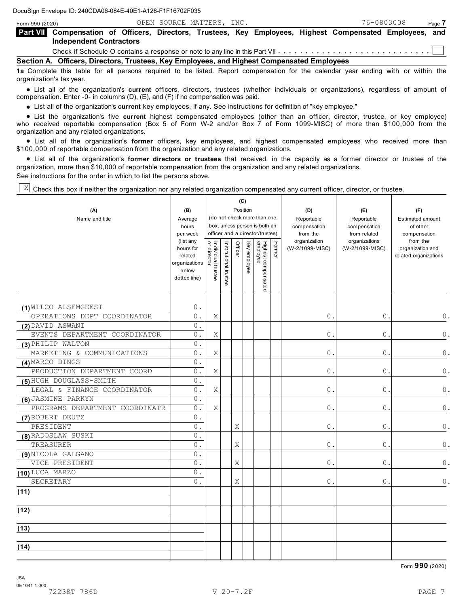| Form 990 (2020)<br>Part VII Compensation of Officers, Directors, Trustees, Key Employees, Highest Compensated Employees, and<br><b>Independent Contractors</b> |                                                                                                                                   |  | OPEN SOURCE MATTERS, INC. |  |  | 76-0803008 | Page 7 |  |
|----------------------------------------------------------------------------------------------------------------------------------------------------------------|-----------------------------------------------------------------------------------------------------------------------------------|--|---------------------------|--|--|------------|--------|--|
|                                                                                                                                                                |                                                                                                                                   |  |                           |  |  |            |        |  |
|                                                                                                                                                                |                                                                                                                                   |  |                           |  |  |            |        |  |
|                                                                                                                                                                |                                                                                                                                   |  |                           |  |  |            |        |  |
|                                                                                                                                                                | Section A. Officers, Directors, Trustees, Key Employees, and Highest Compensated Employees                                        |  |                           |  |  |            |        |  |
|                                                                                                                                                                | 10 Complete this table for all persons required to be listed. Penert compensation for the calendar year ending with ar within the |  |                           |  |  |            |        |  |

**1a** Complete this table for all persons required to be listed. Report compensation for the calendar year ending with or within the organization's tax year.

% List all of the organization's **current** officers, directors, trustees (whether individuals or organizations), regardless of amount of compensation. Enter -0- in columns (D), (E), and (F) if no compensation was paid.

% List all of the organization's **current** key employees, if any. See instructions for definition of "key employee."

% List the organization's five **current** highest compensated employees (other than an officer, director, trustee, or key employee) who received reportable compensation (Box 5 of Form W-2 and/or Box 7 of Form 1099-MISC) of more than \$100,000 from the organization and any related organizations.

anization and any related organizations.<br>● List all of the organization's **former** officers, key employees, and highest compensated employees who received more than \$100,000 of reportable compensation from the organization and any related organizations.

00,000 of reportable compensation from the organization and any related organizations.<br>● List all of the organization's **former directors or trustees** that received, in the capacity as a former director or trustee of the organization, more than \$10,000 of reportable compensation from the organization and any related organizations. See instructions for the order in which to list the persons above.

**(C)**

Т

 $\mathbb{X}$  Check this box if neither the organization nor any related organization compensated any current officer, director, or trustee.

T

| (A)<br>Name and title          | (B)<br>Average<br>hours<br>per week                                         |                                   |                       |         | (C)<br>Position | (do not check more than one<br>box, unless person is both an<br>officer and a director/trustee) |        | (D)<br>Reportable<br>compensation<br>from the | (E)<br>Reportable<br>compensation<br>from related | (F)<br><b>Estimated amount</b><br>of other<br>compensation |
|--------------------------------|-----------------------------------------------------------------------------|-----------------------------------|-----------------------|---------|-----------------|-------------------------------------------------------------------------------------------------|--------|-----------------------------------------------|---------------------------------------------------|------------------------------------------------------------|
|                                | (list any<br>hours for<br>related<br>organizations<br>below<br>dotted line) | Individual trustee<br>or director | Institutional trustee | Officer | Key employee    | Highest compensated<br>employee                                                                 | Former | organization<br>(W-2/1099-MISC)               | organizations<br>(W-2/1099-MISC)                  | from the<br>organization and<br>related organizations      |
| (1) WILCO ALSEMGEEST           | 0.                                                                          |                                   |                       |         |                 |                                                                                                 |        |                                               |                                                   |                                                            |
| OPERATIONS DEPT COORDINATOR    | 0.                                                                          | Χ                                 |                       |         |                 |                                                                                                 |        | 0.                                            | 0.                                                | 0.                                                         |
| (2) DAVID ASWANI               | 0.                                                                          |                                   |                       |         |                 |                                                                                                 |        |                                               |                                                   |                                                            |
| EVENTS DEPARTMENT COORDINATOR  | 0.                                                                          | X                                 |                       |         |                 |                                                                                                 |        | $0$ .                                         | $\mathsf{O}$ .                                    | $\bullet$                                                  |
| (3) PHILIP WALTON              | 0.                                                                          |                                   |                       |         |                 |                                                                                                 |        |                                               |                                                   |                                                            |
| MARKETING & COMMUNICATIONS     | $0$ .                                                                       | Χ                                 |                       |         |                 |                                                                                                 |        | 0.                                            | $\mathsf{0}$ .                                    | $\circ$                                                    |
| (4) MARCO DINGS                | $0$ .                                                                       |                                   |                       |         |                 |                                                                                                 |        |                                               |                                                   |                                                            |
| PRODUCTION DEPARTMENT COORD    | 0.                                                                          | X                                 |                       |         |                 |                                                                                                 |        | 0.                                            | $\mathsf{O}$ .                                    | $\circ$                                                    |
| (5) HUGH DOUGLASS-SMITH        | 0.                                                                          |                                   |                       |         |                 |                                                                                                 |        |                                               |                                                   |                                                            |
| LEGAL & FINANCE COORDINATOR    | 0.                                                                          | Χ                                 |                       |         |                 |                                                                                                 |        | 0.                                            | 0.                                                | $\circ$                                                    |
| (6) JASMINE PARKYN             | $0$ .                                                                       |                                   |                       |         |                 |                                                                                                 |        |                                               |                                                   |                                                            |
| PROGRAMS DEPARTMENT COORDINATR | 0.                                                                          | Χ                                 |                       |         |                 |                                                                                                 |        | 0.                                            | 0.                                                | 0.                                                         |
| (7) ROBERT DEUTZ               | 0.                                                                          |                                   |                       |         |                 |                                                                                                 |        |                                               |                                                   |                                                            |
| PRESIDENT                      | 0.                                                                          |                                   |                       | Χ       |                 |                                                                                                 |        | $0$ .                                         | $\bullet$ .                                       | $\circ$                                                    |
| (8) RADOSLAW SUSKI             | 0.                                                                          |                                   |                       |         |                 |                                                                                                 |        |                                               |                                                   |                                                            |
| TREASURER                      | $\overline{0}$ .                                                            |                                   |                       | Χ       |                 |                                                                                                 |        | 0.                                            | $\circ$ .                                         | 0.                                                         |
| (9) NICOLA GALGANO             | $0$ .                                                                       |                                   |                       |         |                 |                                                                                                 |        |                                               |                                                   |                                                            |
| VICE PRESIDENT                 | 0.                                                                          |                                   |                       | Χ       |                 |                                                                                                 |        | $0$ .                                         | $\mathsf{O}$ .                                    | $\circ$                                                    |
| (10) LUCA MARZO                | 0.                                                                          |                                   |                       |         |                 |                                                                                                 |        |                                               |                                                   |                                                            |
| SECRETARY                      | 0.                                                                          |                                   |                       | Χ       |                 |                                                                                                 |        | 0.                                            | $\circ$ .                                         | $\circ$ .                                                  |
| (11)                           |                                                                             |                                   |                       |         |                 |                                                                                                 |        |                                               |                                                   |                                                            |
| (12)                           |                                                                             |                                   |                       |         |                 |                                                                                                 |        |                                               |                                                   |                                                            |
| (13)                           |                                                                             |                                   |                       |         |                 |                                                                                                 |        |                                               |                                                   |                                                            |
| (14)                           |                                                                             |                                   |                       |         |                 |                                                                                                 |        |                                               |                                                   |                                                            |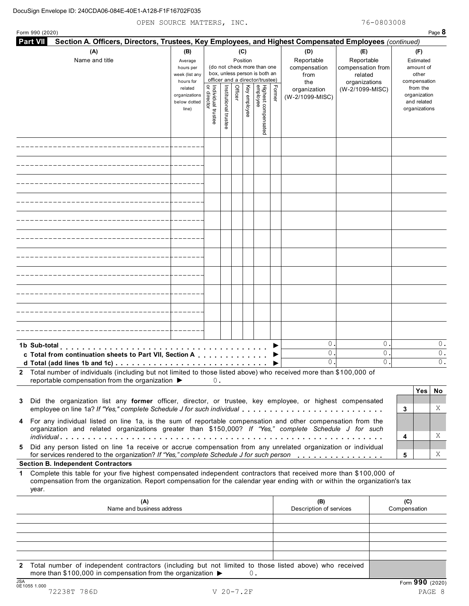| Form 990 (2020)                                                                                                                                                                                                                                                 |                                                                                                                                                                                  |                                   |                       |         |              |                                 |        |                                                  |                                                                    |             |                                                          | Page 8         |
|-----------------------------------------------------------------------------------------------------------------------------------------------------------------------------------------------------------------------------------------------------------------|----------------------------------------------------------------------------------------------------------------------------------------------------------------------------------|-----------------------------------|-----------------------|---------|--------------|---------------------------------|--------|--------------------------------------------------|--------------------------------------------------------------------|-------------|----------------------------------------------------------|----------------|
| <b>Part VII</b><br>Section A. Officers, Directors, Trustees, Key Employees, and Highest Compensated Employees (continued)                                                                                                                                       |                                                                                                                                                                                  |                                   |                       |         |              |                                 |        |                                                  |                                                                    |             |                                                          |                |
| (A)<br>Name and title                                                                                                                                                                                                                                           | (C)<br>(B)<br>Position<br>Average<br>(do not check more than one<br>hours per<br>box, unless person is both an<br>week (list any<br>officer and a director/trustee)<br>hours for |                                   |                       |         |              |                                 |        | (D)<br>Reportable<br>compensation<br>from<br>the | (E)<br>Reportable<br>compensation from<br>related<br>organizations |             | (F)<br>Estimated<br>amount of<br>other<br>compensation   |                |
|                                                                                                                                                                                                                                                                 | related<br>organizations<br>below dotted<br>line)                                                                                                                                | Individual trustee<br>or director | Institutional trustee | Officer | Key employee | Highest compensated<br>employee | Former | organization<br>(W-2/1099-MISC)                  | (W-2/1099-MISC)                                                    |             | from the<br>organization<br>and related<br>organizations |                |
|                                                                                                                                                                                                                                                                 |                                                                                                                                                                                  |                                   |                       |         |              |                                 |        |                                                  |                                                                    |             |                                                          |                |
|                                                                                                                                                                                                                                                                 |                                                                                                                                                                                  |                                   |                       |         |              |                                 |        |                                                  |                                                                    |             |                                                          |                |
|                                                                                                                                                                                                                                                                 |                                                                                                                                                                                  |                                   |                       |         |              |                                 |        |                                                  |                                                                    |             |                                                          |                |
|                                                                                                                                                                                                                                                                 |                                                                                                                                                                                  |                                   |                       |         |              |                                 |        |                                                  |                                                                    |             |                                                          |                |
|                                                                                                                                                                                                                                                                 |                                                                                                                                                                                  |                                   |                       |         |              |                                 |        |                                                  |                                                                    |             |                                                          |                |
|                                                                                                                                                                                                                                                                 |                                                                                                                                                                                  |                                   |                       |         |              |                                 |        |                                                  |                                                                    |             |                                                          |                |
|                                                                                                                                                                                                                                                                 |                                                                                                                                                                                  |                                   |                       |         |              |                                 |        |                                                  |                                                                    |             |                                                          |                |
|                                                                                                                                                                                                                                                                 |                                                                                                                                                                                  |                                   |                       |         |              |                                 |        |                                                  |                                                                    |             |                                                          |                |
|                                                                                                                                                                                                                                                                 |                                                                                                                                                                                  |                                   |                       |         |              |                                 |        |                                                  |                                                                    |             |                                                          |                |
|                                                                                                                                                                                                                                                                 |                                                                                                                                                                                  |                                   |                       |         |              |                                 |        |                                                  |                                                                    |             |                                                          |                |
|                                                                                                                                                                                                                                                                 |                                                                                                                                                                                  |                                   |                       |         |              |                                 |        |                                                  |                                                                    |             |                                                          |                |
| 1b Sub-total<br>c Total from continuation sheets to Part VII, Section A<br>d Total (add lines 1b and 1c) $\ldots \ldots \ldots \ldots \ldots \ldots \ldots \ldots \ldots \ldots \ldots$                                                                         |                                                                                                                                                                                  |                                   |                       |         |              |                                 |        | 0.<br>0.<br>0.                                   |                                                                    | 0<br>0<br>0 |                                                          | 0.<br>Ο.<br>Ο. |
| 2 Total number of individuals (including but not limited to those listed above) who received more than \$100,000 of<br>reportable compensation from the organization ▶                                                                                          |                                                                                                                                                                                  | 0.                                |                       |         |              |                                 |        |                                                  |                                                                    |             |                                                          |                |
| Did the organization list any former officer, director, or trustee, key employee, or highest compensated<br>3<br>employee on line 1a? If "Yes," complete Schedule J for such individual                                                                         |                                                                                                                                                                                  |                                   |                       |         |              |                                 |        |                                                  |                                                                    |             | <b>Yes</b><br>3                                          | No.<br>Χ       |
| 4 For any individual listed on line 1a, is the sum of reportable compensation and other compensation from the<br>organization and related organizations greater than \$150,000? If "Yes," complete Schedule J for such                                          |                                                                                                                                                                                  |                                   |                       |         |              |                                 |        |                                                  |                                                                    |             | 4                                                        | Χ              |
| Did any person listed on line 1a receive or accrue compensation from any unrelated organization or individual<br>5.<br>for services rendered to the organization? If "Yes," complete Schedule J for such person                                                 |                                                                                                                                                                                  |                                   |                       |         |              |                                 |        |                                                  |                                                                    |             | 5                                                        | Χ              |
| <b>Section B. Independent Contractors</b>                                                                                                                                                                                                                       |                                                                                                                                                                                  |                                   |                       |         |              |                                 |        |                                                  |                                                                    |             |                                                          |                |
| Complete this table for your five highest compensated independent contractors that received more than \$100,000 of<br>1.<br>compensation from the organization. Report compensation for the calendar year ending with or within the organization's tax<br>year. |                                                                                                                                                                                  |                                   |                       |         |              |                                 |        |                                                  |                                                                    |             |                                                          |                |
| (A)<br>Name and business address                                                                                                                                                                                                                                |                                                                                                                                                                                  |                                   |                       |         |              |                                 |        | (B)<br>Description of services                   |                                                                    |             | (C)<br>Compensation                                      |                |
|                                                                                                                                                                                                                                                                 |                                                                                                                                                                                  |                                   |                       |         |              |                                 |        |                                                  |                                                                    |             |                                                          |                |
|                                                                                                                                                                                                                                                                 |                                                                                                                                                                                  |                                   |                       |         |              |                                 |        |                                                  |                                                                    |             |                                                          |                |
| Total number of independent contractors (including but not limited to those listed above) who received<br>2<br>more than \$100,000 in compensation from the organization ▶                                                                                      |                                                                                                                                                                                  |                                   |                       |         | 0.           |                                 |        |                                                  |                                                                    |             |                                                          |                |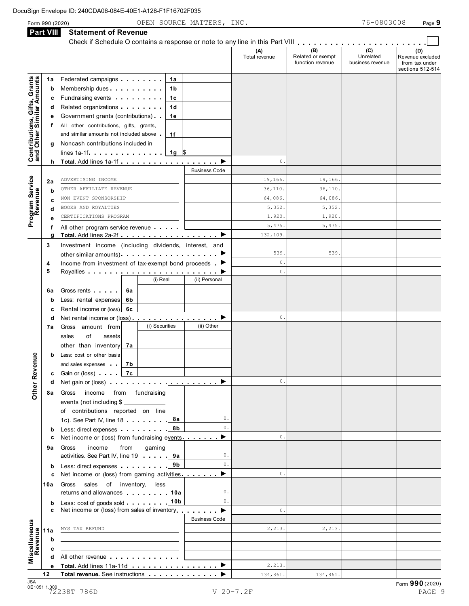|                                                           |              | Check if Schedule O contains a response or note to any line in this Part VIII                                                                                                                                                                                                                             | (A)<br>Total revenue | (B)<br>Related or exempt<br>function revenue | (C)<br>Unrelated<br>business revenue | (D)<br>Revenue excluded<br>from tax under<br>sections 512-514 |
|-----------------------------------------------------------|--------------|-----------------------------------------------------------------------------------------------------------------------------------------------------------------------------------------------------------------------------------------------------------------------------------------------------------|----------------------|----------------------------------------------|--------------------------------------|---------------------------------------------------------------|
| Contributions, Gifts, Grants<br>and Other Similar Amounts | 1a<br>b<br>с | Federated campaigns <b>Federated</b><br>1a<br>Membership dues <b>All Accords</b> Membership dues<br>1b<br>Fundraising events <b>Fundraising</b><br>1c                                                                                                                                                     |                      |                                              |                                      |                                                               |
|                                                           | d<br>е       | 1d<br>Government grants (contributions)<br>1е                                                                                                                                                                                                                                                             |                      |                                              |                                      |                                                               |
|                                                           | t.<br>g      | All other contributions, gifts, grants,<br>and similar amounts not included above<br>1f<br>Noncash contributions included in                                                                                                                                                                              |                      |                                              |                                      |                                                               |
|                                                           |              |                                                                                                                                                                                                                                                                                                           | 0.                   |                                              |                                      |                                                               |
|                                                           |              | <b>Business Code</b>                                                                                                                                                                                                                                                                                      |                      |                                              |                                      |                                                               |
|                                                           | 2a           | ADVERTISING INCOME                                                                                                                                                                                                                                                                                        | 19,166.              | 19,166.                                      |                                      |                                                               |
|                                                           | b            | OTHER AFFILIATE REVENUE                                                                                                                                                                                                                                                                                   | 36,110.              | 36,110.                                      |                                      |                                                               |
|                                                           | с            | NON EVENT SPONSORSHIP                                                                                                                                                                                                                                                                                     | 64,086.              | 64,086.                                      |                                      |                                                               |
| Program Service                                           | d            | BOOKS AND ROYALTIES                                                                                                                                                                                                                                                                                       | 5,352.               | 5,352.                                       |                                      |                                                               |
|                                                           | е            | CERTIFICATIONS PROGRAM                                                                                                                                                                                                                                                                                    | 1,920.               | 1,920.                                       |                                      |                                                               |
|                                                           | f            | All other program service revenue                                                                                                                                                                                                                                                                         | 5,475.               | 5,475.                                       |                                      |                                                               |
|                                                           | g            | Total. Add lines 2a-2f $\ldots$ , $\ldots$ , $\ldots$ , $\ldots$ , $\blacktriangleright$                                                                                                                                                                                                                  | 132,109.             |                                              |                                      |                                                               |
|                                                           | 3            | Investment income (including dividends, interest, and<br>other similar amounts).                                                                                                                                                                                                                          | 539.                 | 539.                                         |                                      |                                                               |
|                                                           | 4            | Income from investment of tax-exempt bond proceeds.                                                                                                                                                                                                                                                       | 0.                   |                                              |                                      |                                                               |
|                                                           | 5            |                                                                                                                                                                                                                                                                                                           | 0.                   |                                              |                                      |                                                               |
|                                                           |              | (i) Real<br>(ii) Personal                                                                                                                                                                                                                                                                                 |                      |                                              |                                      |                                                               |
|                                                           | 6а           | 6a                                                                                                                                                                                                                                                                                                        |                      |                                              |                                      |                                                               |
|                                                           | b            | Less: rental expenses<br>6b                                                                                                                                                                                                                                                                               |                      |                                              |                                      |                                                               |
|                                                           | c            | Rental income or (loss)<br>6с                                                                                                                                                                                                                                                                             |                      |                                              |                                      |                                                               |
|                                                           | d            | Net rental income or (loss) $\ldots$ , $\ldots$ , $\ldots$ , $\ldots$                                                                                                                                                                                                                                     | 0.                   |                                              |                                      |                                                               |
|                                                           | 7а           | (i) Securities<br>(ii) Other<br>Gross amount from                                                                                                                                                                                                                                                         |                      |                                              |                                      |                                                               |
|                                                           |              | of<br>sales<br>assets                                                                                                                                                                                                                                                                                     |                      |                                              |                                      |                                                               |
|                                                           |              | other than inventory<br>7а                                                                                                                                                                                                                                                                                |                      |                                              |                                      |                                                               |
|                                                           | b            | Less: cost or other basis                                                                                                                                                                                                                                                                                 |                      |                                              |                                      |                                                               |
| enue                                                      |              | 7b<br>and sales expenses                                                                                                                                                                                                                                                                                  |                      |                                              |                                      |                                                               |
|                                                           | c            |                                                                                                                                                                                                                                                                                                           |                      |                                              |                                      |                                                               |
|                                                           | d            | Net gain or (loss)                                                                                                                                                                                                                                                                                        | 0.                   |                                              |                                      |                                                               |
| Other Rev                                                 |              | income from fundraising<br>8a Gross                                                                                                                                                                                                                                                                       |                      |                                              |                                      |                                                               |
|                                                           |              | events (not including \$<br>of contributions reported on line<br>0.<br>8а<br>1c). See Part IV, line 18                                                                                                                                                                                                    |                      |                                              |                                      |                                                               |
|                                                           |              | 0.<br>8b<br>Less: direct expenses                                                                                                                                                                                                                                                                         |                      |                                              |                                      |                                                               |
|                                                           | b<br>c       | Net income or (loss) from fundraising events $\blacksquare$                                                                                                                                                                                                                                               | 0.                   |                                              |                                      |                                                               |
|                                                           | 9а           | Gross<br>income<br>from<br>gaming<br>activities. See Part IV, line 19<br>0.                                                                                                                                                                                                                               |                      |                                              |                                      |                                                               |
|                                                           | b<br>c       | 0.<br>9b<br>Less: direct expenses extending the set of the set of the set of the set of the set of the set of the set of the set of the set of the set of the set of the set of the set of the set of the set of the set of the set of the<br>Net income or (loss) from gaming activities $\qquad \qquad$ | 0.                   |                                              |                                      |                                                               |
|                                                           | 10a          | Gross sales of inventory,<br>less<br>0.<br>returns and allowances 10a                                                                                                                                                                                                                                     |                      |                                              |                                      |                                                               |
|                                                           | b            | $\mathbf{0}$ .<br>10b<br>Less: cost of goods sold                                                                                                                                                                                                                                                         |                      |                                              |                                      |                                                               |
|                                                           | c            | Net income or (loss) from sales of inventory                                                                                                                                                                                                                                                              | $\circ$ .            |                                              |                                      |                                                               |
|                                                           |              | <b>Business Code</b>                                                                                                                                                                                                                                                                                      |                      |                                              |                                      |                                                               |
|                                                           | 11a          | NYS TAX REFUND                                                                                                                                                                                                                                                                                            | 2,213.               | 2,213.                                       |                                      |                                                               |
| Miscellaneous<br>Revenue                                  | b            |                                                                                                                                                                                                                                                                                                           |                      |                                              |                                      |                                                               |
|                                                           | c            |                                                                                                                                                                                                                                                                                                           |                      |                                              |                                      |                                                               |
|                                                           | d            | All other revenue experience in the set of the set of the set of the set of the set of the set of the set of the set of the set of the set of the set of the set of the set of the set of the set of the set of the set of the                                                                            |                      |                                              |                                      |                                                               |
|                                                           |              | e Total. Add lines 11a-11d $\blacksquare$                                                                                                                                                                                                                                                                 | 2,213.               |                                              |                                      |                                                               |
|                                                           | 12           | Total revenue. See instructions                                                                                                                                                                                                                                                                           | 134,861.             | 134,861.                                     |                                      |                                                               |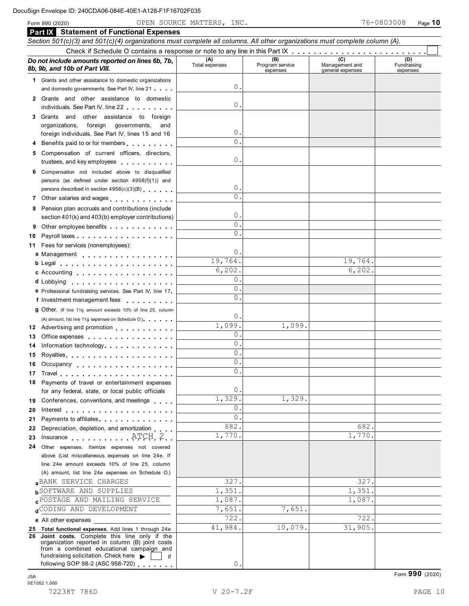Form <sup>990</sup> (2020) Page **10** OPEN SOURCE MATTERS, INC. 76-0803008

|    | <b>Part IX</b> Statement of Functional Expenses                                                                                                                                                                                |                       |                                    |                                    |                                |
|----|--------------------------------------------------------------------------------------------------------------------------------------------------------------------------------------------------------------------------------|-----------------------|------------------------------------|------------------------------------|--------------------------------|
|    | Section 501(c)(3) and 501(c)(4) organizations must complete all columns. All other organizations must complete column (A).                                                                                                     |                       |                                    |                                    |                                |
|    | Do not include amounts reported on lines 6b, 7b,<br>8b, 9b, and 10b of Part VIII.                                                                                                                                              | (A)<br>Total expenses | (B)<br>Program service<br>expenses | Management and<br>general expenses | (D)<br>Fundraising<br>expenses |
|    | 1 Grants and other assistance to domestic organizations                                                                                                                                                                        |                       |                                    |                                    |                                |
|    | and domestic governments. See Part IV, line 21                                                                                                                                                                                 | 0.                    |                                    |                                    |                                |
| 2  | Grants and other assistance to domestic                                                                                                                                                                                        |                       |                                    |                                    |                                |
|    | individuals. See Part IV, line 22                                                                                                                                                                                              | 0.                    |                                    |                                    |                                |
|    | 3 Grants and other assistance to foreign                                                                                                                                                                                       |                       |                                    |                                    |                                |
|    | organizations,<br>foreign<br>governments,<br>and                                                                                                                                                                               |                       |                                    |                                    |                                |
|    | foreign individuals. See Part IV, lines 15 and 16                                                                                                                                                                              | 0.                    |                                    |                                    |                                |
|    | Benefits paid to or for members entitled as a set of the set of the set of the set of the set of the set of the set of the set of the set of the set of the set of the set of the set of the set of the set of the set of the  | $\mathbf{0}$ .        |                                    |                                    |                                |
|    | Compensation of current officers, directors,                                                                                                                                                                                   |                       |                                    |                                    |                                |
|    | trustees, and key employees                                                                                                                                                                                                    | 0.                    |                                    |                                    |                                |
|    | Compensation not included above to disqualified                                                                                                                                                                                |                       |                                    |                                    |                                |
|    | persons (as defined under section 4958(f)(1)) and                                                                                                                                                                              |                       |                                    |                                    |                                |
|    | persons described in section 4958(c)(3)(B)                                                                                                                                                                                     | 0.                    |                                    |                                    |                                |
| 7  | Other salaries and wages<br>                                                                                                                                                                                                   | $\Omega$ .            |                                    |                                    |                                |
| 8  | Pension plan accruals and contributions (include                                                                                                                                                                               | 0.                    |                                    |                                    |                                |
|    | section 401(k) and 403(b) employer contributions)                                                                                                                                                                              | $\mathbf{0}$ .        |                                    |                                    |                                |
| 9  | Other employee benefits                                                                                                                                                                                                        | $\Omega$ .            |                                    |                                    |                                |
| 10 |                                                                                                                                                                                                                                |                       |                                    |                                    |                                |
| 11 | Fees for services (nonemployees):                                                                                                                                                                                              | $\circ$ .             |                                    |                                    |                                |
|    | a Management                                                                                                                                                                                                                   | 19,764.               |                                    | 19,764.                            |                                |
|    | b Legal entering the service of the service of the service of the service of the service of the service of the                                                                                                                 | 6, 202.               |                                    | 6,202.                             |                                |
|    | c Accounting                                                                                                                                                                                                                   | $\circ$ .             |                                    |                                    |                                |
|    |                                                                                                                                                                                                                                | 0.                    |                                    |                                    |                                |
|    | e Professional fundraising services. See Part IV, line 17<br>f Investment management fees                                                                                                                                      | $\Omega$ .            |                                    |                                    |                                |
|    | 9 Other. (If line 11g amount exceeds 10% of line 25, column                                                                                                                                                                    |                       |                                    |                                    |                                |
|    | (A) amount, list line 11g expenses on Schedule O.).                                                                                                                                                                            | 0.                    |                                    |                                    |                                |
|    | 12 Advertising and promotion                                                                                                                                                                                                   | 1,099.                | 1,099.                             |                                    |                                |
| 13 | Office expenses                                                                                                                                                                                                                | 0.                    |                                    |                                    |                                |
| 14 | Information technology experience and the state of the state of the state of the state of the state of the state of the state of the state of the state of the state of the state of the state of the state of the state of th | $\mathbf{0}$ .        |                                    |                                    |                                |
| 15 |                                                                                                                                                                                                                                | $\mathbf{0}$ .        |                                    |                                    |                                |
|    | 16 Occupancy                                                                                                                                                                                                                   | $\circ$ .             |                                    |                                    |                                |
|    |                                                                                                                                                                                                                                | $\Omega$              |                                    |                                    |                                |
|    | 18 Payments of travel or entertainment expenses                                                                                                                                                                                |                       |                                    |                                    |                                |
|    | for any federal, state, or local public officials                                                                                                                                                                              | 0.                    |                                    |                                    |                                |
|    | 19 Conferences, conventions, and meetings                                                                                                                                                                                      | 1,329.                | 1,329.                             |                                    |                                |
| 20 |                                                                                                                                                                                                                                | 0.                    |                                    |                                    |                                |
| 21 | Payments to affiliates <b>Exercise 2.1 Fig. 1.1 Fig. 1.1</b>                                                                                                                                                                   | $\mathbf{0}$ .        |                                    |                                    |                                |
| 22 | Depreciation, depletion, and amortization                                                                                                                                                                                      | 682.                  |                                    | 682.                               |                                |
| 23 | Insurance $ATCH2$                                                                                                                                                                                                              | 1,770.                |                                    | 1,770.                             |                                |
|    | 24 Other expenses. Itemize expenses not covered                                                                                                                                                                                |                       |                                    |                                    |                                |
|    | above (List miscellaneous expenses on line 24e. If                                                                                                                                                                             |                       |                                    |                                    |                                |
|    | line 24e amount exceeds 10% of line 25, column                                                                                                                                                                                 |                       |                                    |                                    |                                |
|    | (A) amount, list line 24e expenses on Schedule O.)                                                                                                                                                                             |                       |                                    |                                    |                                |
|    | BANK SERVICE CHARGES                                                                                                                                                                                                           | 327.<br>1,351.        |                                    | 327.<br>1,351.                     |                                |
|    | <b>b</b> SOFTWARE AND SUPPLIES<br><b>CPOSTAGE AND MAILING SERVICE</b>                                                                                                                                                          | 1,087.                |                                    | 1,087.                             |                                |
|    | dCODING AND DEVELOPMENT                                                                                                                                                                                                        | 7,651.                | 7,651.                             |                                    |                                |
|    |                                                                                                                                                                                                                                | 722.                  |                                    | 722.                               |                                |
|    | e All other expenses                                                                                                                                                                                                           | 41,984.               | 10,079.                            | 31,905.                            |                                |
| 26 | 25 Total functional expenses. Add lines 1 through 24e<br>Joint costs. Complete this line only if the                                                                                                                           |                       |                                    |                                    |                                |
|    | organization reported in column (B) joint costs                                                                                                                                                                                |                       |                                    |                                    |                                |
|    | from a combined educational campaign and<br>fundraising solicitation. Check here<br>if                                                                                                                                         |                       |                                    |                                    |                                |
|    | following SOP 98-2 (ASC 958-720)                                                                                                                                                                                               | 0.                    |                                    |                                    |                                |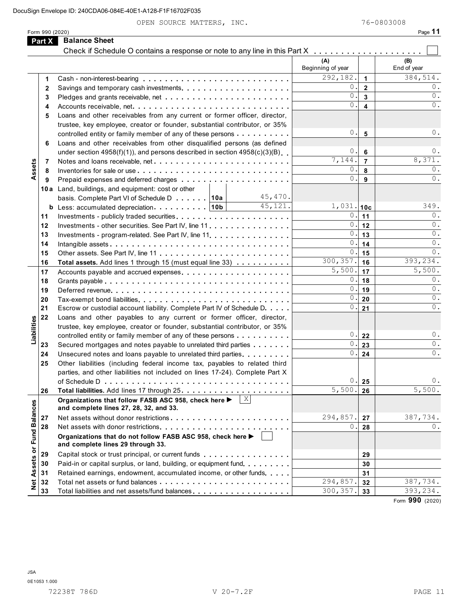OPEN SOURCE MATTERS, INC. 76-0803008

|                      | Form 990 (2020) |                                                                                                            |                          |                         | Page 11            |
|----------------------|-----------------|------------------------------------------------------------------------------------------------------------|--------------------------|-------------------------|--------------------|
|                      | Part X          | <b>Balance Sheet</b>                                                                                       |                          |                         |                    |
|                      |                 | Check if Schedule O contains a response or note to any line in this Part X                                 |                          |                         |                    |
|                      |                 |                                                                                                            | (A)<br>Beginning of year |                         | (B)<br>End of year |
|                      | 1               |                                                                                                            | 292,182.                 | $\blacktriangleleft$    | 384,514.           |
|                      | 2               |                                                                                                            | 0.                       | $\overline{2}$          | 0.                 |
|                      | 3               |                                                                                                            | 0.                       | 3                       | 0.                 |
|                      | 4               | Accounts receivable, net                                                                                   | 0.                       | $\overline{\mathbf{4}}$ | $0$ .              |
|                      | 5               | Loans and other receivables from any current or former officer, director,                                  |                          |                         |                    |
|                      |                 | trustee, key employee, creator or founder, substantial contributor, or 35%                                 |                          |                         |                    |
|                      |                 | controlled entity or family member of any of these persons                                                 | 0.                       | 5                       | 0.                 |
|                      | 6               | Loans and other receivables from other disqualified persons (as defined                                    |                          |                         |                    |
|                      |                 | under section $4958(f)(1)$ , and persons described in section $4958(c)(3)(B)$                              | 0.                       | 6                       | 0.                 |
|                      | 7               |                                                                                                            | 7,144.                   | $\overline{7}$          | 8,371.             |
| Assets               | 8               |                                                                                                            | 0.                       | 8                       | 0.                 |
|                      | 9               |                                                                                                            | 0.                       | 9                       | 0.                 |
|                      |                 | 10a Land, buildings, and equipment: cost or other                                                          |                          |                         |                    |
|                      |                 | 45,470.<br>basis. Complete Part VI of Schedule D 10a                                                       |                          |                         |                    |
|                      |                 | 45,121.<br><b>b</b> Less: accumulated depreciation $\ldots$ , ,    10b                                     | $1,031.$ 10c             |                         | 349.               |
|                      | 11              |                                                                                                            | 0.1                      | 11                      | 0.                 |
|                      | 12              | Investments - other securities. See Part IV, line 11                                                       | 0.1                      | 12                      | $\mathbf{0}$ .     |
|                      | 13              | Investments - program-related. See Part IV, line 11.                                                       | 0.                       | 13                      | 0.                 |
|                      | 14              |                                                                                                            | 0.                       | 14                      | 0.                 |
|                      | 15              |                                                                                                            | 0.                       | 15                      | $0$ .              |
|                      | 16              | Total assets. Add lines 1 through 15 (must equal line 33)                                                  | 300, 357.                | 16                      | 393, 234.          |
|                      | 17              | Accounts payable and accrued expenses                                                                      | 5,500.                   | 17                      | 5,500.             |
|                      | 18              |                                                                                                            | 0.1                      | 18                      | 0.                 |
|                      | 19              |                                                                                                            | 0.1                      | 19                      | $0$ .              |
|                      | 20              |                                                                                                            | 0.1                      | 20                      | 0.                 |
|                      | 21              | Escrow or custodial account liability. Complete Part IV of Schedule D.                                     | 0.                       | 21                      | 0.                 |
|                      | 22              | Loans and other payables to any current or former officer, director,                                       |                          |                         |                    |
|                      |                 | trustee, key employee, creator or founder, substantial contributor, or 35%                                 |                          |                         |                    |
| Liabilities          |                 | controlled entity or family member of any of these persons                                                 | $\mathbf{0}$ .           | 22                      | $0$ .              |
|                      | 23              | Secured mortgages and notes payable to unrelated third parties                                             | 0.1                      | 23                      | 0.                 |
|                      | 24              | Unsecured notes and loans payable to unrelated third parties                                               | 0.                       | 24                      | 0.                 |
|                      | 25              | Other liabilities (including federal income tax, payables to related third                                 |                          |                         |                    |
|                      |                 | parties, and other liabilities not included on lines 17-24). Complete Part X                               |                          |                         |                    |
|                      |                 |                                                                                                            | 0.                       | 25                      | 0.                 |
|                      | 26              |                                                                                                            | $\overline{5,500}$ .     | 26                      | 5,500.             |
|                      |                 | $\mid$ X<br>Organizations that follow FASB ASC 958, check here ▶<br>and complete lines 27, 28, 32, and 33. |                          |                         |                    |
|                      | 27              | Net assets without donor restrictions                                                                      | 294,857.                 | 27                      | 387,734.           |
|                      | 28              |                                                                                                            | 0.                       | 28                      | 0.                 |
| <b>Fund Balances</b> |                 | Organizations that do not follow FASB ASC 958, check here ▶<br>and complete lines 29 through 33.           |                          |                         |                    |
|                      | 29              | Capital stock or trust principal, or current funds                                                         |                          | 29                      |                    |
|                      | 30              | Paid-in or capital surplus, or land, building, or equipment fund.                                          |                          | 30                      |                    |
|                      | 31              | Retained earnings, endowment, accumulated income, or other funds                                           |                          | 31                      |                    |
| Net Assets or        | 32              |                                                                                                            | 294,857.                 | 32                      | 387,734.           |
|                      | 33              | Total liabilities and net assets/fund balances                                                             | 300, 357.                | 33                      | 393,234.           |
|                      |                 |                                                                                                            |                          |                         | $\overline{000}$   |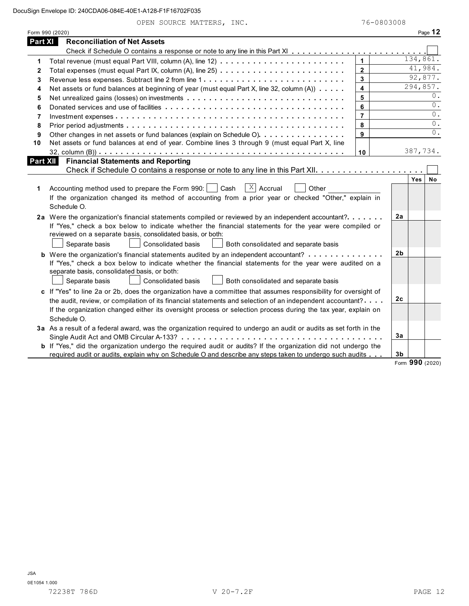|  |  |  |  | OPEN SOURCE MATTERS, INC. |  |
|--|--|--|--|---------------------------|--|
|--|--|--|--|---------------------------|--|

|                | Form 990 (2020)                                                                                                       |                         |                |                     | Page $12$   |  |  |  |  |  |
|----------------|-----------------------------------------------------------------------------------------------------------------------|-------------------------|----------------|---------------------|-------------|--|--|--|--|--|
| <b>Part XI</b> | <b>Reconciliation of Net Assets</b>                                                                                   |                         |                |                     |             |  |  |  |  |  |
|                |                                                                                                                       |                         |                |                     |             |  |  |  |  |  |
| 1              |                                                                                                                       | $\mathbf{1}$            |                | 134,861.<br>41,984. |             |  |  |  |  |  |
| $\mathbf{2}$   | $\mathbf 2$                                                                                                           |                         |                |                     |             |  |  |  |  |  |
| 3              |                                                                                                                       | 3                       | 92,877.        |                     |             |  |  |  |  |  |
| 4              | Net assets or fund balances at beginning of year (must equal Part X, line 32, column (A))                             | $\overline{\mathbf{4}}$ | 294,857.       |                     |             |  |  |  |  |  |
| 5              | Net unrealized gains (losses) on investments                                                                          | 5                       | 0.             |                     |             |  |  |  |  |  |
| 6              |                                                                                                                       | 6                       |                |                     | 0.          |  |  |  |  |  |
| 7              |                                                                                                                       | $\overline{7}$          |                |                     | $0$ .<br>0. |  |  |  |  |  |
| 8              | 8                                                                                                                     |                         |                |                     |             |  |  |  |  |  |
| 9              | Other changes in net assets or fund balances (explain on Schedule O)                                                  | 9                       |                |                     | $0$ .       |  |  |  |  |  |
| 10             | Net assets or fund balances at end of year. Combine lines 3 through 9 (must equal Part X, line                        |                         |                |                     |             |  |  |  |  |  |
|                |                                                                                                                       | 10                      |                | 387,734.            |             |  |  |  |  |  |
| Part XII       | <b>Financial Statements and Reporting</b>                                                                             |                         |                |                     |             |  |  |  |  |  |
|                |                                                                                                                       |                         |                |                     |             |  |  |  |  |  |
|                |                                                                                                                       |                         |                | <b>Yes</b>          | <b>No</b>   |  |  |  |  |  |
| 1              | $\overline{X}$ Accrual<br>Accounting method used to prepare the Form 990:     Cash<br>Other                           |                         |                |                     |             |  |  |  |  |  |
|                | If the organization changed its method of accounting from a prior year or checked "Other," explain in                 |                         |                |                     |             |  |  |  |  |  |
|                | Schedule O.                                                                                                           |                         |                |                     |             |  |  |  |  |  |
|                | 2a Were the organization's financial statements compiled or reviewed by an independent accountant?                    |                         | 2a             |                     |             |  |  |  |  |  |
|                | If "Yes," check a box below to indicate whether the financial statements for the year were compiled or                |                         |                |                     |             |  |  |  |  |  |
|                | reviewed on a separate basis, consolidated basis, or both:                                                            |                         |                |                     |             |  |  |  |  |  |
|                | Separate basis<br><b>Consolidated basis</b><br>Both consolidated and separate basis                                   |                         |                |                     |             |  |  |  |  |  |
|                |                                                                                                                       |                         | 2 <sub>b</sub> |                     |             |  |  |  |  |  |
|                | If "Yes," check a box below to indicate whether the financial statements for the year were audited on a               |                         |                |                     |             |  |  |  |  |  |
|                | separate basis, consolidated basis, or both:                                                                          |                         |                |                     |             |  |  |  |  |  |
|                | Consolidated basis<br>Both consolidated and separate basis<br>Separate basis                                          |                         |                |                     |             |  |  |  |  |  |
|                | c If "Yes" to line 2a or 2b, does the organization have a committee that assumes responsibility for oversight of      |                         |                |                     |             |  |  |  |  |  |
|                | the audit, review, or compilation of its financial statements and selection of an independent accountant?             |                         | 2c             |                     |             |  |  |  |  |  |
|                | If the organization changed either its oversight process or selection process during the tax year, explain on         |                         |                |                     |             |  |  |  |  |  |
|                | Schedule O.                                                                                                           |                         |                |                     |             |  |  |  |  |  |
|                | 3a As a result of a federal award, was the organization required to undergo an audit or audits as set forth in the    |                         |                |                     |             |  |  |  |  |  |
|                |                                                                                                                       |                         | Зa             |                     |             |  |  |  |  |  |
|                | <b>b</b> If "Yes," did the organization undergo the required audit or audits? If the organization did not undergo the |                         |                |                     |             |  |  |  |  |  |
|                | required audit or audits, explain why on Schedule O and describe any steps taken to undergo such audits               |                         | 3 <sub>b</sub> |                     |             |  |  |  |  |  |
|                |                                                                                                                       |                         |                | Form 990 (2020)     |             |  |  |  |  |  |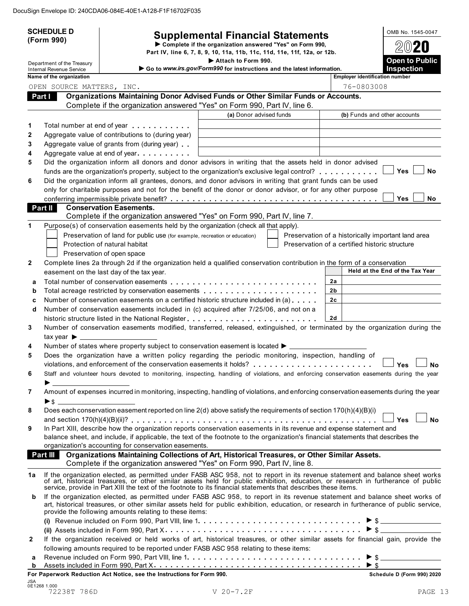|              | <b>SCHEDULE D</b>                                             | <b>Supplemental Financial Statements</b>                                                                                                                                                                                                                 |                         |                | OMB No. 1545-0047                                  |
|--------------|---------------------------------------------------------------|----------------------------------------------------------------------------------------------------------------------------------------------------------------------------------------------------------------------------------------------------------|-------------------------|----------------|----------------------------------------------------|
|              | (Form 990)                                                    | Complete if the organization answered "Yes" on Form 990,                                                                                                                                                                                                 |                         |                |                                                    |
|              |                                                               | Part IV, line 6, 7, 8, 9, 10, 11a, 11b, 11c, 11d, 11e, 11f, 12a, or 12b.<br>Attach to Form 990.                                                                                                                                                          |                         |                | <b>Open to Public</b>                              |
|              | Department of the Treasury<br><b>Internal Revenue Service</b> | Go to www.irs.gov/Form990 for instructions and the latest information.                                                                                                                                                                                   |                         |                | Inspection                                         |
|              | Name of the organization                                      |                                                                                                                                                                                                                                                          |                         |                | <b>Employer identification number</b>              |
|              | OPEN SOURCE MATTERS, INC.                                     | Organizations Maintaining Donor Advised Funds or Other Similar Funds or Accounts.                                                                                                                                                                        |                         |                | 76-0803008                                         |
|              | Part I                                                        | Complete if the organization answered "Yes" on Form 990, Part IV, line 6.                                                                                                                                                                                |                         |                |                                                    |
|              |                                                               |                                                                                                                                                                                                                                                          | (a) Donor advised funds |                | (b) Funds and other accounts                       |
| 1            |                                                               | Total number at end of year example.                                                                                                                                                                                                                     |                         |                |                                                    |
| 2            |                                                               | Aggregate value of contributions to (during year)                                                                                                                                                                                                        |                         |                |                                                    |
| 3            |                                                               | Aggregate value of grants from (during year)                                                                                                                                                                                                             |                         |                |                                                    |
| 4            |                                                               | Aggregate value at end of year                                                                                                                                                                                                                           |                         |                |                                                    |
| 5            |                                                               | Did the organization inform all donors and donor advisors in writing that the assets held in donor advised                                                                                                                                               |                         |                |                                                    |
|              |                                                               | funds are the organization's property, subject to the organization's exclusive legal control?                                                                                                                                                            |                         |                | <b>Yes</b><br>No                                   |
| 6            |                                                               | Did the organization inform all grantees, donors, and donor advisors in writing that grant funds can be used<br>only for charitable purposes and not for the benefit of the donor or donor advisor, or for any other purpose                             |                         |                |                                                    |
|              |                                                               |                                                                                                                                                                                                                                                          |                         |                | <b>Yes</b><br><b>No</b>                            |
|              | Part II                                                       | <b>Conservation Easements.</b>                                                                                                                                                                                                                           |                         |                |                                                    |
|              |                                                               | Complete if the organization answered "Yes" on Form 990, Part IV, line 7.                                                                                                                                                                                |                         |                |                                                    |
| 1            |                                                               | Purpose(s) of conservation easements held by the organization (check all that apply).                                                                                                                                                                    |                         |                |                                                    |
|              |                                                               | Preservation of land for public use (for example, recreation or education)                                                                                                                                                                               |                         |                | Preservation of a historically important land area |
|              |                                                               | Protection of natural habitat                                                                                                                                                                                                                            |                         |                | Preservation of a certified historic structure     |
|              |                                                               | Preservation of open space                                                                                                                                                                                                                               |                         |                |                                                    |
| $\mathbf{2}$ |                                                               | Complete lines 2a through 2d if the organization held a qualified conservation contribution in the form of a conservation<br>easement on the last day of the tax year.                                                                                   |                         |                | Held at the End of the Tax Year                    |
| a            |                                                               |                                                                                                                                                                                                                                                          |                         | 2a             |                                                    |
| b            |                                                               | Total acreage restricted by conservation easements                                                                                                                                                                                                       |                         | 2b             |                                                    |
| C            |                                                               | Number of conservation easements on a certified historic structure included in (a)                                                                                                                                                                       |                         | 2 <sub>c</sub> |                                                    |
| d            |                                                               | Number of conservation easements included in (c) acquired after 7/25/06, and not on a                                                                                                                                                                    |                         |                |                                                    |
|              |                                                               | historic structure listed in the National Register                                                                                                                                                                                                       |                         | 2d             |                                                    |
| 3            |                                                               | Number of conservation easements modified, transferred, released, extinguished, or terminated by the organization during the                                                                                                                             |                         |                |                                                    |
|              | tax year $\blacktriangleright$ __                             |                                                                                                                                                                                                                                                          |                         |                |                                                    |
| 4<br>5       |                                                               | Number of states where property subject to conservation easement is located ▶ _<br>Does the organization have a written policy regarding the periodic monitoring, inspection, handling of                                                                |                         |                |                                                    |
|              |                                                               | violations, and enforcement of the conservation easements it holds?<br>                                                                                                                                                                                  |                         |                | Yes<br><b>No</b>                                   |
| 6            |                                                               | Staff and volunteer hours devoted to monitoring, inspecting, handling of violations, and enforcing conservation easements during the year                                                                                                                |                         |                |                                                    |
|              | ▶                                                             |                                                                                                                                                                                                                                                          |                         |                |                                                    |
| 7            |                                                               | Amount of expenses incurred in monitoring, inspecting, handling of violations, and enforcing conservation easements during the year                                                                                                                      |                         |                |                                                    |
|              |                                                               |                                                                                                                                                                                                                                                          |                         |                |                                                    |
| 8            |                                                               | Does each conservation easement reported on line 2(d) above satisfy the requirements of section 170(h)(4)(B)(i)                                                                                                                                          |                         |                |                                                    |
|              |                                                               |                                                                                                                                                                                                                                                          |                         |                | <b>Yes</b><br><b>No</b>                            |
| 9            |                                                               | In Part XIII, describe how the organization reports conservation easements in its revenue and expense statement and<br>balance sheet, and include, if applicable, the text of the footnote to the organization's financial statements that describes the |                         |                |                                                    |
|              |                                                               | organization's accounting for conservation easements.                                                                                                                                                                                                    |                         |                |                                                    |
|              | <b>Part III</b>                                               | Organizations Maintaining Collections of Art, Historical Treasures, or Other Similar Assets.                                                                                                                                                             |                         |                |                                                    |
|              |                                                               | Complete if the organization answered "Yes" on Form 990, Part IV, line 8.                                                                                                                                                                                |                         |                |                                                    |
| 1a           |                                                               | If the organization elected, as permitted under FASB ASC 958, not to report in its revenue statement and balance sheet works of art, historical treasures, or other similar assets held for public exhibition, education, or r                           |                         |                |                                                    |
|              |                                                               | service, provide in Part XIII the text of the footnote to its financial statements that describes these items.                                                                                                                                           |                         |                |                                                    |
| b            |                                                               | If the organization elected, as permitted under FASB ASC 958, to report in its revenue statement and balance sheet works of                                                                                                                              |                         |                |                                                    |
|              |                                                               | art, historical treasures, or other similar assets held for public exhibition, education, or research in furtherance of public service,                                                                                                                  |                         |                |                                                    |
|              |                                                               | provide the following amounts relating to these items:                                                                                                                                                                                                   |                         |                |                                                    |
|              |                                                               |                                                                                                                                                                                                                                                          |                         |                |                                                    |
| 2            |                                                               | If the organization received or held works of art, historical treasures, or other similar assets for financial gain, provide the                                                                                                                         |                         |                |                                                    |
|              |                                                               | following amounts required to be reported under FASB ASC 958 relating to these items:                                                                                                                                                                    |                         |                |                                                    |
| а            |                                                               |                                                                                                                                                                                                                                                          |                         |                |                                                    |
| b            |                                                               |                                                                                                                                                                                                                                                          |                         |                |                                                    |
|              |                                                               | For Paperwork Reduction Act Notice, see the Instructions for Form 990.                                                                                                                                                                                   |                         |                | Schedule D (Form 990) 2020                         |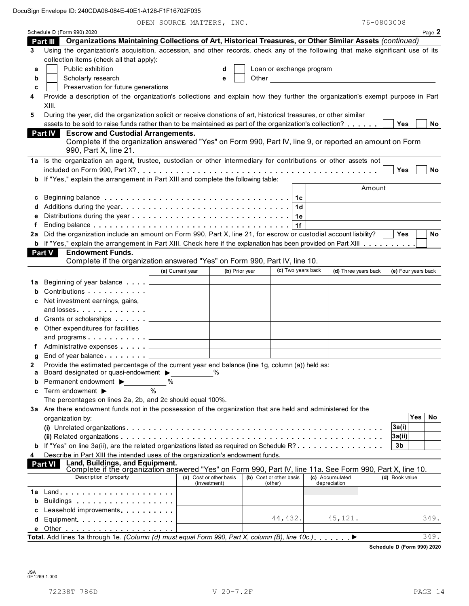OPEN SOURCE MATTERS, INC. 76-0803008

|    | Schedule D (Form 990) 2020                                                                                                                                      |               | nonion that thing |                         |                         |                          |                |                                           |        |                     |            | Page 2    |
|----|-----------------------------------------------------------------------------------------------------------------------------------------------------------------|---------------|-------------------|-------------------------|-------------------------|--------------------------|----------------|-------------------------------------------|--------|---------------------|------------|-----------|
|    | Part III Organizations Maintaining Collections of Art, Historical Treasures, or Other Similar Assets (continued)                                                |               |                   |                         |                         |                          |                |                                           |        |                     |            |           |
| 3  | Using the organization's acquisition, accession, and other records, check any of the following that make significant use of its                                 |               |                   |                         |                         |                          |                |                                           |        |                     |            |           |
|    | collection items (check all that apply):                                                                                                                        |               |                   |                         |                         |                          |                |                                           |        |                     |            |           |
| а  | Public exhibition                                                                                                                                               |               |                   | d                       |                         | Loan or exchange program |                |                                           |        |                     |            |           |
| b  | Scholarly research                                                                                                                                              |               |                   | e                       | Other                   |                          |                | <u> 1989 - Jan Barat, prima politik (</u> |        |                     |            |           |
| c  | Preservation for future generations                                                                                                                             |               |                   |                         |                         |                          |                |                                           |        |                     |            |           |
| 4  | Provide a description of the organization's collections and explain how they further the organization's exempt purpose in Part                                  |               |                   |                         |                         |                          |                |                                           |        |                     |            |           |
|    | XIII.                                                                                                                                                           |               |                   |                         |                         |                          |                |                                           |        |                     |            |           |
| 5  | During the year, did the organization solicit or receive donations of art, historical treasures, or other similar                                               |               |                   |                         |                         |                          |                |                                           |        |                     |            |           |
|    | assets to be sold to raise funds rather than to be maintained as part of the organization's collection?                                                         |               |                   |                         |                         |                          |                |                                           |        | Yes                 |            | No.       |
|    | <b>Part IV</b><br><b>Escrow and Custodial Arrangements.</b>                                                                                                     |               |                   |                         |                         |                          |                |                                           |        |                     |            |           |
|    | Complete if the organization answered "Yes" on Form 990, Part IV, line 9, or reported an amount on Form                                                         |               |                   |                         |                         |                          |                |                                           |        |                     |            |           |
|    | 990, Part X, line 21.                                                                                                                                           |               |                   |                         |                         |                          |                |                                           |        |                     |            |           |
|    | 1a Is the organization an agent, trustee, custodian or other intermediary for contributions or other assets not                                                 |               |                   |                         |                         |                          |                |                                           |        |                     |            |           |
|    |                                                                                                                                                                 |               |                   |                         |                         |                          |                |                                           |        | Yes                 |            | <b>No</b> |
|    | b If "Yes," explain the arrangement in Part XIII and complete the following table:                                                                              |               |                   |                         |                         |                          |                |                                           |        |                     |            |           |
|    |                                                                                                                                                                 |               |                   |                         |                         |                          |                |                                           | Amount |                     |            |           |
| c  |                                                                                                                                                                 |               |                   |                         |                         |                          | 1 <sub>c</sub> |                                           |        |                     |            |           |
|    |                                                                                                                                                                 |               |                   |                         |                         |                          | 1d             |                                           |        |                     |            |           |
|    |                                                                                                                                                                 |               |                   |                         |                         |                          | 1e             |                                           |        |                     |            |           |
|    |                                                                                                                                                                 |               |                   |                         |                         |                          | 1f             |                                           |        |                     |            |           |
|    | 2a Did the organization include an amount on Form 990, Part X, line 21, for escrow or custodial account liability?                                              |               |                   |                         |                         |                          |                |                                           |        | Yes                 |            | No        |
|    | <b>b</b> If "Yes," explain the arrangement in Part XIII. Check here if the explanation has been provided on Part XIII                                           |               |                   |                         |                         |                          |                |                                           |        |                     |            |           |
|    | Part V<br><b>Endowment Funds.</b>                                                                                                                               |               |                   |                         |                         |                          |                |                                           |        |                     |            |           |
|    | Complete if the organization answered "Yes" on Form 990, Part IV, line 10.                                                                                      |               |                   |                         |                         |                          |                |                                           |        |                     |            |           |
|    |                                                                                                                                                                 |               | (a) Current year  | (b) Prior year          |                         | (c) Two years back       |                | (d) Three years back                      |        | (e) Four years back |            |           |
| 1a | Beginning of year balance exceeding                                                                                                                             |               |                   |                         |                         |                          |                |                                           |        |                     |            |           |
| b  | Contributions                                                                                                                                                   |               |                   |                         |                         |                          |                |                                           |        |                     |            |           |
| c  | Net investment earnings, gains,                                                                                                                                 |               |                   |                         |                         |                          |                |                                           |        |                     |            |           |
|    | and losses                                                                                                                                                      |               |                   |                         |                         |                          |                |                                           |        |                     |            |           |
|    | d Grants or scholarships                                                                                                                                        |               |                   |                         |                         |                          |                |                                           |        |                     |            |           |
| е  | Other expenditures for facilities                                                                                                                               |               |                   |                         |                         |                          |                |                                           |        |                     |            |           |
|    | and programs                                                                                                                                                    |               |                   |                         |                         |                          |                |                                           |        |                     |            |           |
|    | Administrative expenses                                                                                                                                         |               |                   |                         |                         |                          |                |                                           |        |                     |            |           |
| g  | End of year balance Learn Learn L                                                                                                                               |               |                   |                         |                         |                          |                |                                           |        |                     |            |           |
|    | Provide the estimated percentage of the current year end balance (line 1g, column (a)) held as:                                                                 |               |                   |                         |                         |                          |                |                                           |        |                     |            |           |
| а  | Board designated or quasi-endowment >                                                                                                                           |               |                   | $\frac{0}{0}$           |                         |                          |                |                                           |        |                     |            |           |
| b  | Permanent endowment ▶                                                                                                                                           | ℅             |                   |                         |                         |                          |                |                                           |        |                     |            |           |
| c  | Term endowment ▶                                                                                                                                                | $\frac{0}{0}$ |                   |                         |                         |                          |                |                                           |        |                     |            |           |
|    | The percentages on lines 2a, 2b, and 2c should equal 100%.                                                                                                      |               |                   |                         |                         |                          |                |                                           |        |                     |            |           |
|    | 3a Are there endowment funds not in the possession of the organization that are held and administered for the                                                   |               |                   |                         |                         |                          |                |                                           |        |                     |            |           |
|    | organization by:                                                                                                                                                |               |                   |                         |                         |                          |                |                                           |        |                     | <b>Yes</b> | <b>No</b> |
|    |                                                                                                                                                                 |               |                   |                         |                         |                          |                |                                           |        | 3a(i)               |            |           |
|    |                                                                                                                                                                 |               |                   |                         |                         |                          |                |                                           |        | 3a(ii)              |            |           |
|    | <b>b</b> If "Yes" on line 3a(ii), are the related organizations listed as required on Schedule R?                                                               |               |                   |                         |                         |                          |                |                                           |        | 3 <sub>b</sub>      |            |           |
| 4  | Describe in Part XIII the intended uses of the organization's endowment funds.                                                                                  |               |                   |                         |                         |                          |                |                                           |        |                     |            |           |
|    | Land, Buildings, and Equipment.<br><b>Part VI</b><br>Complete if the organization answered "Yes" on Form 990, Part IV, line 11a. See Form 990, Part X, line 10. |               |                   |                         |                         |                          |                |                                           |        |                     |            |           |
|    | Description of property                                                                                                                                         |               |                   | (a) Cost or other basis | (b) Cost or other basis |                          |                | (c) Accumulated                           |        | (d) Book value      |            |           |
|    |                                                                                                                                                                 |               |                   | (investment)            |                         | (other)                  |                | depreciation                              |        |                     |            |           |
| 1a |                                                                                                                                                                 |               |                   |                         |                         |                          |                |                                           |        |                     |            |           |
| b  | Buildings                                                                                                                                                       |               |                   |                         |                         |                          |                |                                           |        |                     |            |           |
|    | Leasehold improvements                                                                                                                                          |               |                   |                         |                         |                          |                |                                           |        |                     |            |           |
| d  | Equipment                                                                                                                                                       |               |                   |                         |                         | 44, 432.                 |                | 45, 121                                   |        |                     |            | 349.      |
|    |                                                                                                                                                                 |               |                   |                         |                         |                          |                |                                           |        |                     |            |           |
|    | Total. Add lines 1a through 1e. (Column (d) must equal Form 990, Part X, column (B), line 10c.)                                                                 |               |                   |                         |                         |                          |                |                                           |        |                     |            | 349.      |

**Schedule D (Form 990) 2020**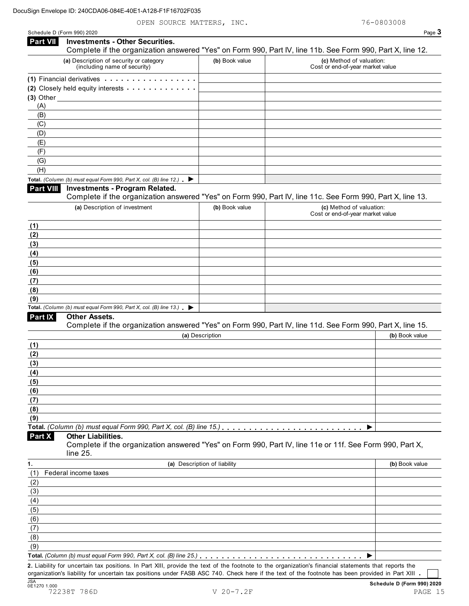|                                                                                                | <b>Investments - Other Securities.</b>                                                                                                                                                                                              |                              |                                                                                                                                                                            |
|------------------------------------------------------------------------------------------------|-------------------------------------------------------------------------------------------------------------------------------------------------------------------------------------------------------------------------------------|------------------------------|----------------------------------------------------------------------------------------------------------------------------------------------------------------------------|
|                                                                                                | (a) Description of security or category<br>(including name of security)                                                                                                                                                             | (b) Book value               | Complete if the organization answered "Yes" on Form 990, Part IV, line 11b. See Form 990, Part X, line 12.<br>(c) Method of valuation:<br>Cost or end-of-year market value |
|                                                                                                |                                                                                                                                                                                                                                     |                              |                                                                                                                                                                            |
|                                                                                                | (1) Financial derivatives                                                                                                                                                                                                           |                              |                                                                                                                                                                            |
|                                                                                                | (2) Closely held equity interests <b>contained</b> and a contact of the contact of the contact of the contact of the contact of the contact of the contact of the contact of the contact of the contact of the contact of the conta |                              |                                                                                                                                                                            |
| (A)                                                                                            | (3) Other $\_$                                                                                                                                                                                                                      |                              |                                                                                                                                                                            |
| (B)                                                                                            |                                                                                                                                                                                                                                     |                              |                                                                                                                                                                            |
| (C)                                                                                            |                                                                                                                                                                                                                                     |                              |                                                                                                                                                                            |
| (D)                                                                                            |                                                                                                                                                                                                                                     |                              |                                                                                                                                                                            |
| (E)                                                                                            |                                                                                                                                                                                                                                     |                              |                                                                                                                                                                            |
| (F)                                                                                            |                                                                                                                                                                                                                                     |                              |                                                                                                                                                                            |
| (G)                                                                                            |                                                                                                                                                                                                                                     |                              |                                                                                                                                                                            |
| (H)                                                                                            |                                                                                                                                                                                                                                     |                              |                                                                                                                                                                            |
|                                                                                                | Total. (Column (b) must equal Form 990, Part X, col. (B) line 12.) $\blacktriangleright$                                                                                                                                            |                              |                                                                                                                                                                            |
| Part VIII                                                                                      | <b>Investments - Program Related.</b>                                                                                                                                                                                               |                              |                                                                                                                                                                            |
|                                                                                                |                                                                                                                                                                                                                                     |                              | Complete if the organization answered "Yes" on Form 990, Part IV, line 11c. See Form 990, Part X, line 13.                                                                 |
|                                                                                                | (a) Description of investment                                                                                                                                                                                                       | (b) Book value               | (c) Method of valuation:<br>Cost or end-of-year market value                                                                                                               |
| (1)                                                                                            |                                                                                                                                                                                                                                     |                              |                                                                                                                                                                            |
| (2)                                                                                            |                                                                                                                                                                                                                                     |                              |                                                                                                                                                                            |
| (3)                                                                                            |                                                                                                                                                                                                                                     |                              |                                                                                                                                                                            |
| (4)                                                                                            |                                                                                                                                                                                                                                     |                              |                                                                                                                                                                            |
| (5)                                                                                            |                                                                                                                                                                                                                                     |                              |                                                                                                                                                                            |
| (6)                                                                                            |                                                                                                                                                                                                                                     |                              |                                                                                                                                                                            |
| (7)                                                                                            |                                                                                                                                                                                                                                     |                              |                                                                                                                                                                            |
| (8)                                                                                            |                                                                                                                                                                                                                                     |                              |                                                                                                                                                                            |
|                                                                                                |                                                                                                                                                                                                                                     |                              |                                                                                                                                                                            |
|                                                                                                |                                                                                                                                                                                                                                     |                              |                                                                                                                                                                            |
|                                                                                                | Total. (Column (b) must equal Form 990, Part X, col. (B) line 13.) $\blacktriangleright$                                                                                                                                            |                              |                                                                                                                                                                            |
|                                                                                                | <b>Other Assets.</b>                                                                                                                                                                                                                |                              |                                                                                                                                                                            |
|                                                                                                |                                                                                                                                                                                                                                     |                              | Complete if the organization answered "Yes" on Form 990, Part IV, line 11d. See Form 990, Part X, line 15.                                                                 |
|                                                                                                |                                                                                                                                                                                                                                     | (a) Description              | (b) Book value                                                                                                                                                             |
|                                                                                                |                                                                                                                                                                                                                                     |                              |                                                                                                                                                                            |
|                                                                                                |                                                                                                                                                                                                                                     |                              |                                                                                                                                                                            |
|                                                                                                |                                                                                                                                                                                                                                     |                              |                                                                                                                                                                            |
|                                                                                                |                                                                                                                                                                                                                                     |                              |                                                                                                                                                                            |
|                                                                                                |                                                                                                                                                                                                                                     |                              |                                                                                                                                                                            |
|                                                                                                |                                                                                                                                                                                                                                     |                              |                                                                                                                                                                            |
|                                                                                                |                                                                                                                                                                                                                                     |                              |                                                                                                                                                                            |
|                                                                                                |                                                                                                                                                                                                                                     |                              |                                                                                                                                                                            |
| (9)<br><b>Part IX</b><br>(1)<br>(2)<br>(3)<br>(4)<br>(5)<br>(6)<br>(7)<br>(8)<br>(9)<br>Part X | <b>Other Liabilities.</b>                                                                                                                                                                                                           |                              | ▶                                                                                                                                                                          |
|                                                                                                | line 25.                                                                                                                                                                                                                            |                              | Complete if the organization answered "Yes" on Form 990, Part IV, line 11e or 11f. See Form 990, Part X,                                                                   |
|                                                                                                |                                                                                                                                                                                                                                     | (a) Description of liability | (b) Book value                                                                                                                                                             |
|                                                                                                | Federal income taxes                                                                                                                                                                                                                |                              |                                                                                                                                                                            |
|                                                                                                |                                                                                                                                                                                                                                     |                              |                                                                                                                                                                            |
|                                                                                                |                                                                                                                                                                                                                                     |                              |                                                                                                                                                                            |
|                                                                                                |                                                                                                                                                                                                                                     |                              |                                                                                                                                                                            |
|                                                                                                |                                                                                                                                                                                                                                     |                              |                                                                                                                                                                            |
| 1.<br>(1)<br>(2)<br>(3)<br>(4)<br>(5)<br>(6)                                                   |                                                                                                                                                                                                                                     |                              |                                                                                                                                                                            |
| (7)                                                                                            |                                                                                                                                                                                                                                     |                              |                                                                                                                                                                            |
| (8)<br>(9)                                                                                     |                                                                                                                                                                                                                                     |                              |                                                                                                                                                                            |

72238T 786D V 20-7.2F PAGE 15

organization's liability for uncertain tax positions under FASB ASC 740. Check here if the text of the footnote has been provided in Part XIII

JSA **Schedule <sup>D</sup> (Form 990) <sup>2020</sup>** 0E1270 1.000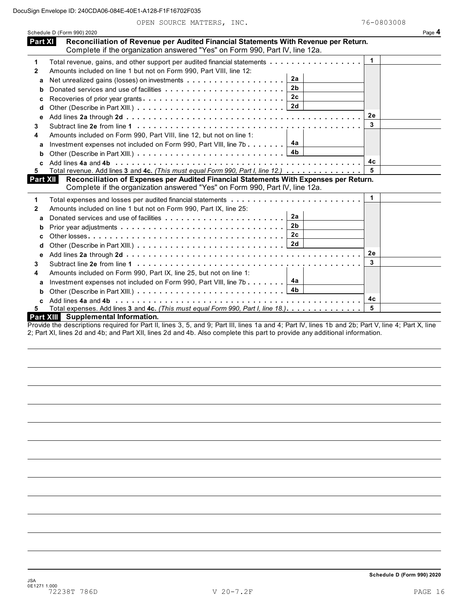OPEN SOURCE MATTERS, INC. 76-0803008

|                  | Schedule D (Form 990) 2020                                                                                                                                           |    | Page 4 |
|------------------|----------------------------------------------------------------------------------------------------------------------------------------------------------------------|----|--------|
| Part XI          | Reconciliation of Revenue per Audited Financial Statements With Revenue per Return.<br>Complete if the organization answered "Yes" on Form 990, Part IV, line 12a.   |    |        |
| 1                | Total revenue, gains, and other support per audited financial statements                                                                                             | 1  |        |
| $\mathbf{2}$     | Amounts included on line 1 but not on Form 990, Part VIII, line 12:                                                                                                  |    |        |
| a                | 2a                                                                                                                                                                   |    |        |
| b                | 2 <sub>b</sub>                                                                                                                                                       |    |        |
| c                | 2 <sub>c</sub>                                                                                                                                                       |    |        |
| d                |                                                                                                                                                                      |    |        |
| e                |                                                                                                                                                                      | 2е |        |
| 3                |                                                                                                                                                                      | 3  |        |
| 4                | Amounts included on Form 990, Part VIII, line 12, but not on line 1:                                                                                                 |    |        |
| a                | 4a<br>Investment expenses not included on Form 990, Part VIII, line 7b                                                                                               |    |        |
| b                | 4 <sub>b</sub>                                                                                                                                                       |    |        |
| C                |                                                                                                                                                                      | 4c |        |
| 5                | Total revenue. Add lines 3 and 4c. (This must equal Form 990, Part I, line 12.)                                                                                      | 5  |        |
| Part XII         | Reconciliation of Expenses per Audited Financial Statements With Expenses per Return.<br>Complete if the organization answered "Yes" on Form 990, Part IV, line 12a. |    |        |
| 1                | Total expenses and losses per audited financial statements                                                                                                           | 1  |        |
| 2                | Amounts included on line 1 but not on Form 990, Part IX, line 25:                                                                                                    |    |        |
| a                | 2a                                                                                                                                                                   |    |        |
| b                | 2 <sub>b</sub>                                                                                                                                                       |    |        |
| C                | 2c                                                                                                                                                                   |    |        |
| d                | 2d                                                                                                                                                                   |    |        |
| е                |                                                                                                                                                                      | 2e |        |
| 3                |                                                                                                                                                                      | 3  |        |
| 4                | Amounts included on Form 990, Part IX, line 25, but not on line 1:                                                                                                   |    |        |
| a                | 4a<br>Investment expenses not included on Form 990, Part VIII, line 7b $\ldots \ldots$                                                                               |    |        |
| b                | 4b<br>Other (Describe in Part XIII.) $\ldots \ldots \ldots \ldots \ldots \ldots \ldots \ldots$                                                                       |    |        |
| c                |                                                                                                                                                                      | 4c |        |
| 5.               | Total expenses. Add lines 3 and 4c. (This must equal Form 990, Part I, line 18.)                                                                                     | 5  |        |
| <b>Part XIII</b> | <b>Supplemental Information.</b>                                                                                                                                     |    |        |
|                  |                                                                                                                                                                      |    |        |

Provide the descriptions required for Part II, lines 3, 5, and 9; Part III, lines 1a and 4; Part IV, lines 1b and 2b; Part V, line 4; Part X, line 2; Part XI, lines 2d and 4b; and Part XII, lines 2d and 4b. Also complete this part to provide any additional information.

**Schedule D (Form 990) 2020**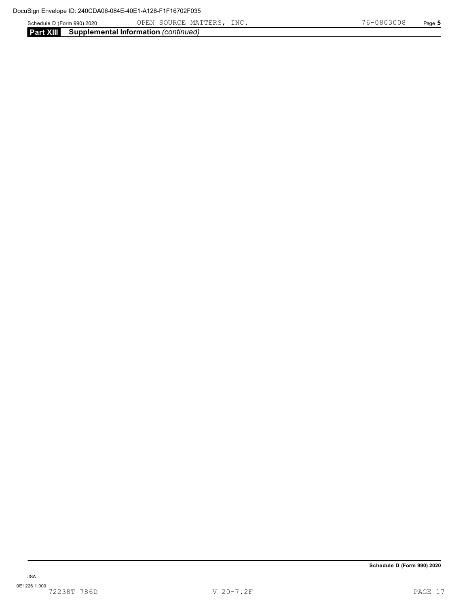Schedule D (Form 990) 2020 OPEN SOURCE MATTERS, INC. 7 6-0 8 0 3 0 0 8 Page **5** 

**Part XIII Supplemental Information** *(continued)*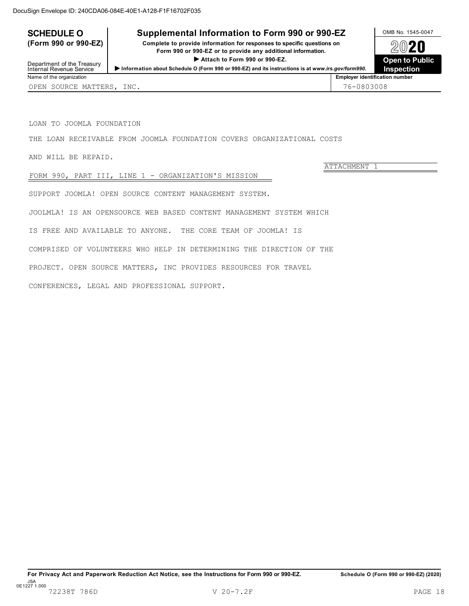# **SCHEDULE O** Supplemental Information to Form 990 or 990-EZ DAMB No. 1545-0047

(Form 990 or 990-EZ) Complete to provide information for responses to specific questions on  $\bigotimes_{\mathcal{D}} \mathbf{2020}$ Form 990 or 990-EZ or to provide any additional information.<br>
Attach to Form 990 or 990-EZ.<br>
Open to Public



Department of the Treasury<br>Internal Revenue Service Internal Revenue Service I**Information about Schedule <sup>O</sup> (Form <sup>990</sup> or 990-EZ) and its instructions is at** *www.irs.gov/form990.*

ATTACHMENT 1

LOAN TO JOOMLA FOUNDATION

THE LOAN RECEIVABLE FROM JOOMLA FOUNDATION COVERS ORGANIZATIONAL COSTS

AND WILL BE REPAID.

FORM 990, PART III, LINE 1 - ORGANIZATION'S MISSION

SUPPORT JOOMLA! OPEN SOURCE CONTENT MANAGEMENT SYSTEM.

JOOLMLA! IS AN OPENSOURCE WEB BASED CONTENT MANAGEMENT SYSTEM WHICH

IS FREE AND AVAILABLE TO ANYONE. THE CORE TEAM OF JOOMLA! IS

COMPRISED OF VOLUNTEERS WHO HELP IN DETERMINING THE DIRECTION OF THE

PROJECT. OPEN SOURCE MATTERS, INC PROVIDES RESOURCES FOR TRAVEL

CONFERENCES, LEGAL AND PROFESSIONAL SUPPORT.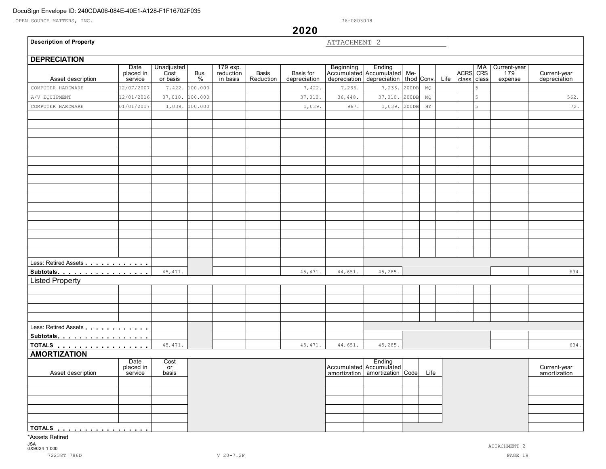OPEN SOURCE MATTERS, INC. 76-0803008

# **2020**

## **Description of Property**

ATTACHMENT 2

 $\overline{\phantom{0}}$ 

| <b>DEPRECIATION</b>    |                              |                                |           |                                   |                    |                           |              |                                                                                         |       |             |      |                        |   |                                |                              |
|------------------------|------------------------------|--------------------------------|-----------|-----------------------------------|--------------------|---------------------------|--------------|-----------------------------------------------------------------------------------------|-------|-------------|------|------------------------|---|--------------------------------|------------------------------|
| Asset description      | Date<br>placed in<br>service | Unadjusted<br>Cost<br>or basis | Bus.<br>% | 179 exp.<br>reduction<br>in basis | Basis<br>Reduction | Basis for<br>depreciation |              | Beginning Ending<br>Accumulated Accumulated Me-<br>depreciation depreciation thod Conv. |       |             | Life | ACRS MA<br>class class |   | Current-year<br>179<br>expense | Current-year<br>depreciation |
| COMPUTER HARDWARE      | 2/07/2007                    | 7,422.                         | 100.000   |                                   |                    | 7,422.                    | 7,236.       | 7,236.                                                                                  | 200DB | MQ          |      |                        | 5 |                                |                              |
| A/V EQUIPMENT          | 12/01/2016                   | 37,010.                        | 100.000   |                                   |                    | 37,010.                   | 36,448.      | 37,010.                                                                                 | 200DB | $_{\rm MQ}$ |      |                        | 5 |                                | 562.                         |
| COMPUTER HARDWARE      | 01/01/2017                   | 1,039.                         | 100.000   |                                   |                    | 1,039.                    | 967.         | 1,039.                                                                                  | 200DB | $_{\rm HY}$ |      |                        | 5 |                                | 72.                          |
|                        |                              |                                |           |                                   |                    |                           |              |                                                                                         |       |             |      |                        |   |                                |                              |
|                        |                              |                                |           |                                   |                    |                           |              |                                                                                         |       |             |      |                        |   |                                |                              |
|                        |                              |                                |           |                                   |                    |                           |              |                                                                                         |       |             |      |                        |   |                                |                              |
|                        |                              |                                |           |                                   |                    |                           |              |                                                                                         |       |             |      |                        |   |                                |                              |
|                        |                              |                                |           |                                   |                    |                           |              |                                                                                         |       |             |      |                        |   |                                |                              |
|                        |                              |                                |           |                                   |                    |                           |              |                                                                                         |       |             |      |                        |   |                                |                              |
|                        |                              |                                |           |                                   |                    |                           |              |                                                                                         |       |             |      |                        |   |                                |                              |
|                        |                              |                                |           |                                   |                    |                           |              |                                                                                         |       |             |      |                        |   |                                |                              |
|                        |                              |                                |           |                                   |                    |                           |              |                                                                                         |       |             |      |                        |   |                                |                              |
|                        |                              |                                |           |                                   |                    |                           |              |                                                                                         |       |             |      |                        |   |                                |                              |
|                        |                              |                                |           |                                   |                    |                           |              |                                                                                         |       |             |      |                        |   |                                |                              |
|                        |                              |                                |           |                                   |                    |                           |              |                                                                                         |       |             |      |                        |   |                                |                              |
|                        |                              |                                |           |                                   |                    |                           |              |                                                                                         |       |             |      |                        |   |                                |                              |
|                        |                              |                                |           |                                   |                    |                           |              |                                                                                         |       |             |      |                        |   |                                |                              |
|                        |                              |                                |           |                                   |                    |                           |              |                                                                                         |       |             |      |                        |   |                                |                              |
|                        |                              |                                |           |                                   |                    |                           |              |                                                                                         |       |             |      |                        |   |                                |                              |
| Less: Retired Assets   |                              |                                |           |                                   |                    |                           |              |                                                                                         |       |             |      |                        |   |                                |                              |
| Subtotals              |                              | 45, 471.                       |           |                                   |                    | 45, 471.                  | 44,651.      | 45,285.                                                                                 |       |             |      |                        |   |                                | 634.                         |
| <b>Listed Property</b> |                              |                                |           |                                   |                    |                           |              |                                                                                         |       |             |      |                        |   |                                |                              |
|                        |                              |                                |           |                                   |                    |                           |              |                                                                                         |       |             |      |                        |   |                                |                              |
|                        |                              |                                |           |                                   |                    |                           |              |                                                                                         |       |             |      |                        |   |                                |                              |
|                        |                              |                                |           |                                   |                    |                           |              |                                                                                         |       |             |      |                        |   |                                |                              |
|                        |                              |                                |           |                                   |                    |                           |              |                                                                                         |       |             |      |                        |   |                                |                              |
| Less: Retired Assets   |                              |                                |           |                                   |                    |                           |              |                                                                                         |       |             |      |                        |   |                                |                              |
| Subtotals              |                              |                                |           |                                   |                    |                           |              |                                                                                         |       |             |      |                        |   |                                |                              |
| TOTALS <u>.</u>        |                              | 45, 471.                       |           |                                   |                    | 45, 471.                  | 44,651.      | 45,285.                                                                                 |       |             |      |                        |   |                                | 634.                         |
| <b>AMORTIZATION</b>    |                              |                                |           |                                   |                    |                           |              |                                                                                         |       |             |      |                        |   |                                |                              |
|                        | Date<br>placed in            | Cost<br>or                     |           |                                   |                    |                           |              | Ending<br>Accumulated Accumulated                                                       |       |             |      |                        |   |                                | Current-year                 |
| Asset description      | service                      | basis                          |           |                                   |                    |                           | amortization | amortization   Code                                                                     |       | Life        |      |                        |   |                                | amortization                 |
|                        |                              |                                |           |                                   |                    |                           |              |                                                                                         |       |             |      |                        |   |                                |                              |
|                        |                              |                                |           |                                   |                    |                           |              |                                                                                         |       |             |      |                        |   |                                |                              |
|                        |                              |                                |           |                                   |                    |                           |              |                                                                                         |       |             |      |                        |   |                                |                              |
|                        |                              |                                |           |                                   |                    |                           |              |                                                                                         |       |             |      |                        |   |                                |                              |
|                        |                              |                                |           |                                   |                    |                           |              |                                                                                         |       |             |      |                        |   |                                |                              |
| TOTALS                 |                              |                                |           |                                   |                    |                           |              |                                                                                         |       |             |      |                        |   |                                |                              |
| *Assets Retired        |                              |                                |           |                                   |                    |                           |              |                                                                                         |       |             |      |                        |   |                                |                              |